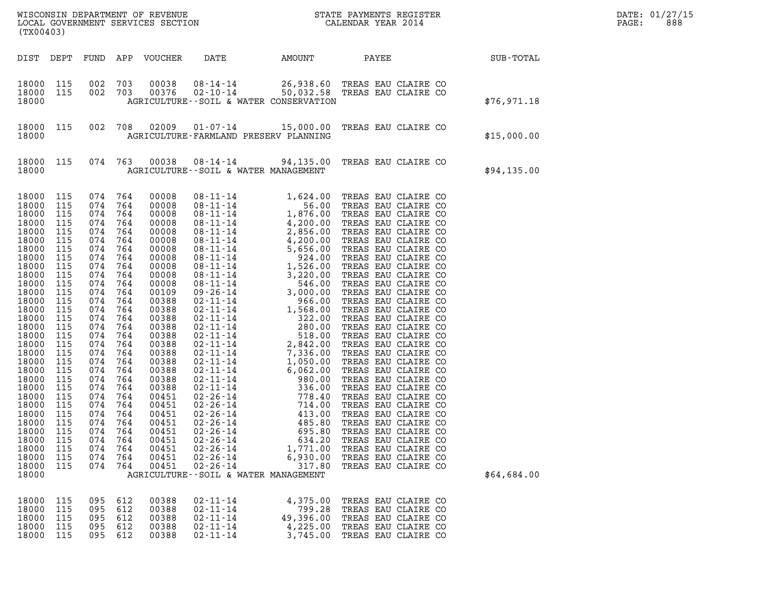| (TX00403)                                                                                                                                                                                                                                                                                             |                                                                                                                                                                                                                              |                                                                                                                                                                                                                              |                                                                                                                                                                                                                              |                                                                                                                                                                                                                                                                                              |                                                                                                                                                                    |                                                                        | WISCONSIN DEPARTMENT OF REVENUE<br>LOCAL GOVERNMENT SERVICES SECTION<br>(WYOO403)                                                                             |  | DATE: 01/27/15<br>PAGE:<br>888 |  |
|-------------------------------------------------------------------------------------------------------------------------------------------------------------------------------------------------------------------------------------------------------------------------------------------------------|------------------------------------------------------------------------------------------------------------------------------------------------------------------------------------------------------------------------------|------------------------------------------------------------------------------------------------------------------------------------------------------------------------------------------------------------------------------|------------------------------------------------------------------------------------------------------------------------------------------------------------------------------------------------------------------------------|----------------------------------------------------------------------------------------------------------------------------------------------------------------------------------------------------------------------------------------------------------------------------------------------|--------------------------------------------------------------------------------------------------------------------------------------------------------------------|------------------------------------------------------------------------|---------------------------------------------------------------------------------------------------------------------------------------------------------------|--|--------------------------------|--|
| DIST DEPT                                                                                                                                                                                                                                                                                             |                                                                                                                                                                                                                              |                                                                                                                                                                                                                              |                                                                                                                                                                                                                              | FUND APP VOUCHER                                                                                                                                                                                                                                                                             | DATE                                                                                                                                                               |                                                                        | AMOUNT PAYEE SUB-TOTAL                                                                                                                                        |  |                                |  |
| 18000<br>18000<br>18000                                                                                                                                                                                                                                                                               | 115<br>115                                                                                                                                                                                                                   | 002<br>002 703                                                                                                                                                                                                               | 703                                                                                                                                                                                                                          | 00038<br>00376                                                                                                                                                                                                                                                                               | AGRICULTURE--SOIL & WATER CONSERVATION                                                                                                                             |                                                                        | 08-14-14 26,938.60 TREAS EAU CLAIRE CO<br>02-10-14 50,032.58 TREAS EAU CLAIRE CO                                                                              |  | \$76,971.18                    |  |
| 18000 115<br>18000                                                                                                                                                                                                                                                                                    |                                                                                                                                                                                                                              |                                                                                                                                                                                                                              | 002 708                                                                                                                                                                                                                      |                                                                                                                                                                                                                                                                                              | AGRICULTURE-FARMLAND PRESERV PLANNING                                                                                                                              |                                                                        | 02009  01-07-14  15,000.00  TREAS EAU CLAIRE CO                                                                                                               |  | \$15,000.00                    |  |
| 18000 115<br>18000                                                                                                                                                                                                                                                                                    |                                                                                                                                                                                                                              | 074 763                                                                                                                                                                                                                      |                                                                                                                                                                                                                              |                                                                                                                                                                                                                                                                                              | AGRICULTURE--SOIL & WATER MANAGEMENT                                                                                                                               |                                                                        | 00038  08-14-14  94,135.00  TREAS EAU CLAIRE CO                                                                                                               |  | \$94,135.00                    |  |
| 18000<br>18000<br>18000<br>18000<br>18000<br>18000<br>18000<br>18000<br>18000<br>18000<br>18000<br>18000<br>18000<br>18000<br>18000<br>18000<br>18000<br>18000<br>18000<br>18000<br>18000<br>18000<br>18000<br>18000<br>18000<br>18000<br>18000<br>18000<br>18000<br>18000<br>18000<br>18000<br>18000 | 115<br>115<br>115<br>115<br>115<br>115<br>115<br>115<br>115<br>115<br>115<br>115<br>115<br>115<br>115<br>115<br>115<br>115<br>115<br>115<br>115<br>115<br>115<br>115<br>115<br>115<br>115<br>115<br>115<br>115<br>115<br>115 | 074<br>074<br>074<br>074<br>074<br>074<br>074<br>074<br>074<br>074<br>074<br>074<br>074<br>074<br>074<br>074<br>074<br>074<br>074<br>074<br>074<br>074<br>074<br>074<br>074<br>074<br>074<br>074<br>074<br>074<br>074<br>074 | 764<br>764<br>764<br>764<br>764<br>764<br>764<br>764<br>764<br>764<br>764<br>764<br>764<br>764<br>764<br>764<br>764<br>764<br>764<br>764<br>764<br>764<br>764<br>764<br>764<br>764<br>764<br>764<br>764<br>764<br>764<br>764 | 00008<br>00008<br>00008<br>00008<br>00008<br>00008<br>00008<br>00008<br>00008<br>00008<br>00008<br>00109<br>00388<br>00388<br>00388<br>00388<br>00388<br>00388<br>00388<br>00388<br>00388<br>00388<br>00388<br>00451<br>00451<br>00451<br>00451<br>00451<br>00451<br>00451<br>00451<br>00451 | $02 - 26 - 14$<br>$02 - 26 - 14$<br>$02 - 26 - 14$<br>$02 - 26 - 14$<br>$02 - 26 - 14$<br>$02 - 26 - 14$<br>$02 - 26 - 14$<br>AGRICULTURE--SOIL & WATER MANAGEMENT | 413.00<br>485.80<br>695.80<br>634.20<br>1,771.00<br>6,930.00<br>317.80 | TREAS EAU CLAIRE CO<br>TREAS EAU CLAIRE CO<br>TREAS EAU CLAIRE CO<br>TREAS EAU CLAIRE CO<br>TREAS EAU CLAIRE CO<br>TREAS EAU CLAIRE CO<br>TREAS EAU CLAIRE CO |  | \$64,684.00                    |  |
| 18000<br>18000<br>18000<br>18000<br>18000                                                                                                                                                                                                                                                             | 115<br>115<br>115<br>115<br>115                                                                                                                                                                                              | 095<br>095<br>095<br>095<br>095                                                                                                                                                                                              | 612<br>612<br>612<br>612<br>612                                                                                                                                                                                              | 00388<br>00388<br>00388<br>00388<br>00388                                                                                                                                                                                                                                                    | $02 - 11 - 14$<br>$02 - 11 - 14$<br>$02 - 11 - 14$<br>$02 - 11 - 14$<br>$02 - 11 - 14$                                                                             | 4,375.00<br>799.28<br>49,396.00<br>4,225.00<br>3,745.00                | TREAS EAU CLAIRE CO<br>TREAS EAU CLAIRE CO<br>TREAS EAU CLAIRE CO<br>TREAS EAU CLAIRE CO<br>TREAS EAU CLAIRE CO                                               |  |                                |  |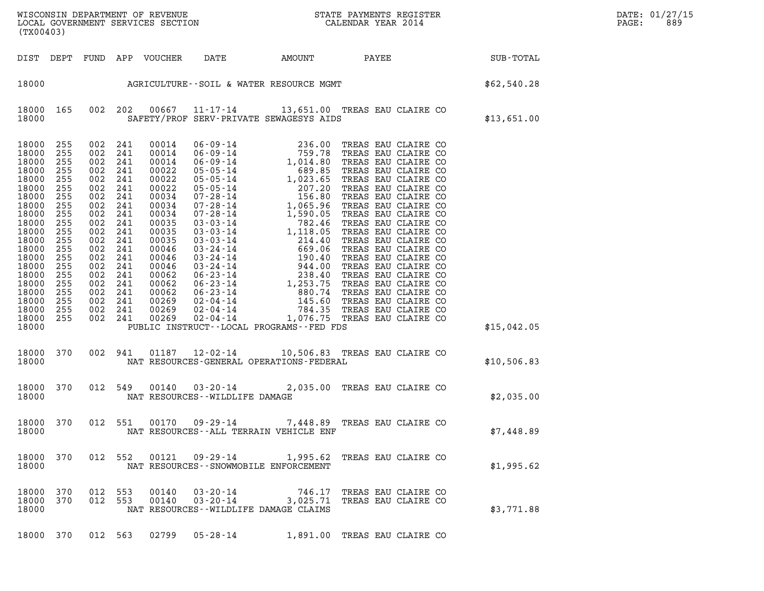| DATE: | 01/27/15 |
|-------|----------|
| PAGE: | 889      |

| WISCONSIN DEPARTMENT OF REVENUE<br>LOCAL GOVERNMENT SERVICES SECTION<br>(TWOO403)<br>(TX00403)                                                                                                         |                                                                                                                                          |                                                                                                                                                                                                                     |                          |                                                                                                                                                                                           |                                                                  |                                          |                                                                |                                                                | DATE: 01/27/15<br>PAGE:<br>889 |
|--------------------------------------------------------------------------------------------------------------------------------------------------------------------------------------------------------|------------------------------------------------------------------------------------------------------------------------------------------|---------------------------------------------------------------------------------------------------------------------------------------------------------------------------------------------------------------------|--------------------------|-------------------------------------------------------------------------------------------------------------------------------------------------------------------------------------------|------------------------------------------------------------------|------------------------------------------|----------------------------------------------------------------|----------------------------------------------------------------|--------------------------------|
|                                                                                                                                                                                                        |                                                                                                                                          |                                                                                                                                                                                                                     |                          | DIST DEPT FUND APP VOUCHER                                                                                                                                                                | DATE                                                             |                                          |                                                                | AMOUNT PAYEE SUB-TOTAL                                         |                                |
|                                                                                                                                                                                                        |                                                                                                                                          |                                                                                                                                                                                                                     |                          |                                                                                                                                                                                           |                                                                  |                                          |                                                                | 18000<br>AGRICULTURE--SOIL & WATER RESOURCE MGMT<br>462,540.28 |                                |
| 18000                                                                                                                                                                                                  |                                                                                                                                          |                                                                                                                                                                                                                     |                          |                                                                                                                                                                                           |                                                                  | SAFETY/PROF SERV-PRIVATE SEWAGESYS AIDS  | 18000 165 002 202 00667 11-17-14 13,651.00 TREAS EAU CLAIRE CO | \$13,651.00                                                    |                                |
| 18000<br>18000<br>18000<br>18000<br>18000<br>18000<br>18000<br>18000<br>18000<br>18000<br>18000<br>18000<br>18000<br>18000<br>18000<br>18000<br>18000<br>18000<br>18000<br>18000<br>18000 255<br>18000 | 255<br>255<br>255<br>255<br>255<br>255<br>255<br>255<br>255<br>255<br>255<br>255<br>255<br>255<br>255<br>255<br>255<br>255<br>255<br>255 | 002 241<br>002 241<br>002 241<br>002 241<br>002 241<br>002 241<br>002<br>002 241<br>002<br>002 241<br>002<br>002 241<br>002 241<br>002 241<br>002<br>002 241<br>002 241<br>002 241<br>002 241<br>002 241<br>002 241 | 241<br>241<br>241<br>241 | 00014<br>00014<br>00014<br>00022<br>00022<br>00022<br>00034<br>00034<br>00034<br>00035<br>00035<br>00035<br>00046<br>00046<br>00046<br>00062<br>00062<br>00062<br>00269<br>00269<br>00269 |                                                                  | PUBLIC INSTRUCT--LOCAL PROGRAMS--FED FDS |                                                                | \$15,042.05                                                    |                                |
| 18000                                                                                                                                                                                                  |                                                                                                                                          |                                                                                                                                                                                                                     |                          |                                                                                                                                                                                           |                                                                  | NAT RESOURCES-GENERAL OPERATIONS-FEDERAL | 18000 370 002 941 01187 12-02-14 10,506.83 TREAS EAU CLAIRE CO | \$10,506.83                                                    |                                |
| 18000 370 012 549<br>18000                                                                                                                                                                             |                                                                                                                                          |                                                                                                                                                                                                                     |                          |                                                                                                                                                                                           | NAT RESOURCES -- WILDLIFE DAMAGE                                 |                                          | 00140  03-20-14  2,035.00 TREAS EAU CLAIRE CO                  | \$2,035.00                                                     |                                |
| 18000 370<br>18000                                                                                                                                                                                     |                                                                                                                                          |                                                                                                                                                                                                                     | 012 551                  |                                                                                                                                                                                           |                                                                  | NAT RESOURCES--ALL TERRAIN VEHICLE ENF   | 00170  09-29-14  7,448.89  TREAS EAU CLAIRE CO                 | \$7,448.89                                                     |                                |
| 18000 370<br>18000                                                                                                                                                                                     |                                                                                                                                          |                                                                                                                                                                                                                     | 012 552                  |                                                                                                                                                                                           | NAT RESOURCES - - SNOWMOBILE ENFORCEMENT                         |                                          | 00121  09-29-14  1,995.62  TREAS EAU CLAIRE CO                 | \$1,995.62                                                     |                                |
| 18000 370<br>18000 370<br>18000                                                                                                                                                                        |                                                                                                                                          | 012 553                                                                                                                                                                                                             | 012 553                  | 00140<br>00140                                                                                                                                                                            | 03-20-14<br>03-20-14<br>NAT RESOURCES - - WILDLIFE DAMAGE CLAIMS |                                          | 746.17 TREAS EAU CLAIRE CO<br>3,025.71 TREAS EAU CLAIRE CO     | \$3,771.88                                                     |                                |
| 18000 370                                                                                                                                                                                              |                                                                                                                                          | 012 563                                                                                                                                                                                                             |                          | 02799                                                                                                                                                                                     | $05 - 28 - 14$                                                   |                                          | 1,891.00 TREAS EAU CLAIRE CO                                   |                                                                |                                |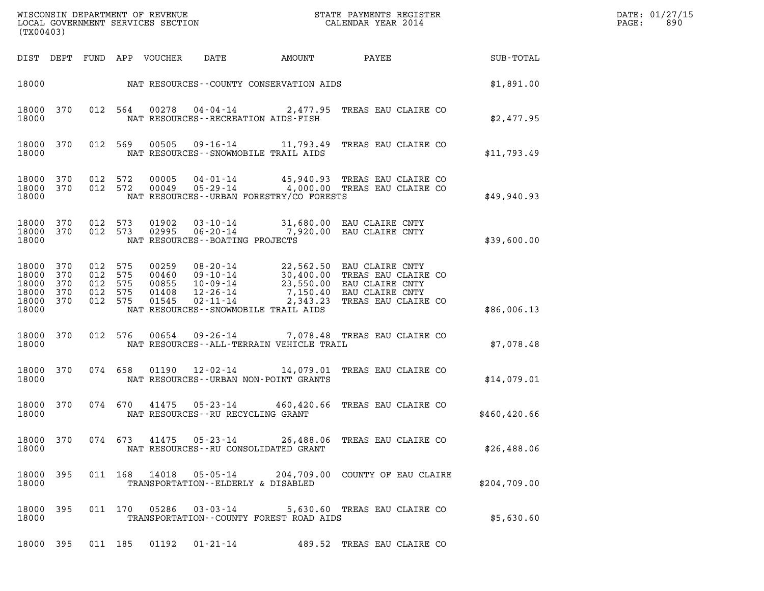| (TX00403) |      |      |     | WISCONSIN DEPARTMENT OF REVENUE<br>LOCAL GOVERNMENT SERVICES SECTION |      |        | STATE PAYMENTS REGISTER<br>CALENDAR YEAR 2014 |           | DATE: 01/27/15<br>890<br>PAGE: |
|-----------|------|------|-----|----------------------------------------------------------------------|------|--------|-----------------------------------------------|-----------|--------------------------------|
| DIST      | DEPT | FUND | APP | VOUCHER                                                              | DATE | AMOUNT | PAYEE                                         | SUB-TOTAL |                                |

| (TX00403)                                          |                                 |                                 |                                 |                                           |                                                                                        |                                                                                                        |                                                                                                     |              |
|----------------------------------------------------|---------------------------------|---------------------------------|---------------------------------|-------------------------------------------|----------------------------------------------------------------------------------------|--------------------------------------------------------------------------------------------------------|-----------------------------------------------------------------------------------------------------|--------------|
| DIST                                               | DEPT                            | FUND                            | APP                             | VOUCHER                                   | DATE                                                                                   | AMOUNT                                                                                                 | PAYEE                                                                                               | SUB-TOTAL    |
| 18000                                              |                                 |                                 |                                 |                                           |                                                                                        | NAT RESOURCES--COUNTY CONSERVATION AIDS                                                                |                                                                                                     | \$1,891.00   |
| 18000<br>18000                                     | 370                             | 012                             | 564                             | 00278                                     | 04 - 04 - 14                                                                           | 2,477.95<br>NAT RESOURCES - - RECREATION AIDS - FISH                                                   | TREAS EAU CLAIRE CO                                                                                 | \$2,477.95   |
| 18000<br>18000                                     | 370                             | 012                             | 569                             | 00505                                     |                                                                                        | $09 - 16 - 14$ 11, 793.49<br>NAT RESOURCES - - SNOWMOBILE TRAIL AIDS                                   | TREAS EAU CLAIRE CO                                                                                 | \$11,793.49  |
| 18000<br>18000<br>18000                            | 370<br>370                      | 012<br>012                      | 572<br>572                      | 00005<br>00049                            | $04 - 01 - 14$<br>$05 - 29 - 14$                                                       | 45,940.93<br>4,000.00<br>NAT RESOURCES - - URBAN FORESTRY/CO FORESTS                                   | TREAS EAU CLAIRE CO<br>TREAS EAU CLAIRE CO                                                          | \$49,940.93  |
| 18000<br>18000<br>18000                            | 370<br>370                      | 012<br>012                      | 573<br>573                      | 01902<br>02995                            | 03-10-14<br>$06 - 20 - 14$<br>NAT RESOURCES - - BOATING PROJECTS                       | 31,680.00<br>7,920.00                                                                                  | EAU CLAIRE CNTY<br>EAU CLAIRE CNTY                                                                  | \$39,600.00  |
| 18000<br>18000<br>18000<br>18000<br>18000<br>18000 | 370<br>370<br>370<br>370<br>370 | 012<br>012<br>012<br>012<br>012 | 575<br>575<br>575<br>575<br>575 | 00259<br>00460<br>00855<br>01408<br>01545 | $08 - 20 - 14$<br>$09 - 10 - 14$<br>$10 - 09 - 14$<br>$12 - 26 - 14$<br>$02 - 11 - 14$ | 22,562.50<br>30,400.00<br>23,550.00<br>7,150.40<br>2,343.23<br>NAT RESOURCES - - SNOWMOBILE TRAIL AIDS | EAU CLAIRE CNTY<br>TREAS EAU CLAIRE CO<br>EAU CLAIRE CNTY<br>EAU CLAIRE CNTY<br>TREAS EAU CLAIRE CO | \$86,006.13  |
| 18000<br>18000                                     | 370                             | 012                             | 576                             | 00654                                     | $09 - 26 - 14$                                                                         | 7,078.48<br>NAT RESOURCES - - ALL - TERRAIN VEHICLE TRAIL                                              | TREAS EAU CLAIRE CO                                                                                 | \$7,078.48   |
| 18000<br>18000                                     | 370                             | 074                             | 658                             | 01190                                     | $12 - 02 - 14$                                                                         | 14,079.01<br>NAT RESOURCES - - URBAN NON-POINT GRANTS                                                  | TREAS EAU CLAIRE CO                                                                                 | \$14,079.01  |
| 18000<br>18000                                     | 370                             | 074                             | 670                             | 41475                                     | $05 - 23 - 14$                                                                         | 460,420.66<br>NAT RESOURCES - - RU RECYCLING GRANT                                                     | TREAS EAU CLAIRE CO                                                                                 | \$460,420.66 |
| 18000<br>18000                                     | 370                             | 074                             | 673                             | 41475                                     | $05 - 23 - 14$                                                                         | 26,488.06<br>NAT RESOURCES - - RU CONSOLIDATED GRANT                                                   | TREAS EAU CLAIRE CO                                                                                 | \$26,488.06  |
| 18000<br>18000                                     | 395                             | 011                             | 168                             | 14018                                     | $05 - 05 - 14$                                                                         | 204,709.00<br>TRANSPORTATION--ELDERLY & DISABLED                                                       | COUNTY OF EAU CLAIRE                                                                                | \$204,709.00 |
| 18000<br>18000                                     | 395                             | 011                             | 170                             | 05286                                     | $03 - 03 - 14$                                                                         | TRANSPORTATION--COUNTY FOREST ROAD AIDS                                                                | 5,630.60 TREAS EAU CLAIRE CO                                                                        | \$5,630.60   |

18000 395 011 185 01192 01-21-14 489.52 TREAS EAU CLAIRE CO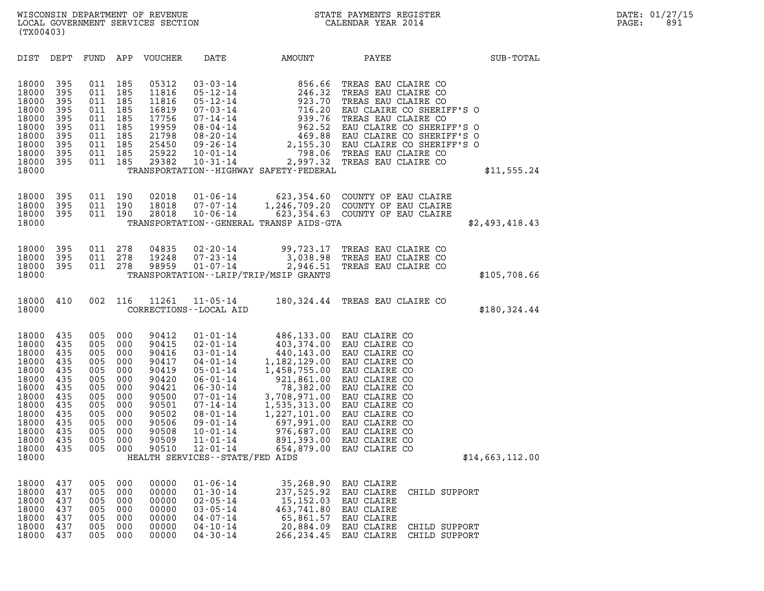|                                                                                                                                     | (TX00403)                                                                                      |                                                                                                |                                                                                                |                                                                                                                            |                                                                                                                                                                                                                                                                                             |                                                                                                                                                                                                           |                                                                                                                                                                                                                                                                     |                 |  |  |
|-------------------------------------------------------------------------------------------------------------------------------------|------------------------------------------------------------------------------------------------|------------------------------------------------------------------------------------------------|------------------------------------------------------------------------------------------------|----------------------------------------------------------------------------------------------------------------------------|---------------------------------------------------------------------------------------------------------------------------------------------------------------------------------------------------------------------------------------------------------------------------------------------|-----------------------------------------------------------------------------------------------------------------------------------------------------------------------------------------------------------|---------------------------------------------------------------------------------------------------------------------------------------------------------------------------------------------------------------------------------------------------------------------|-----------------|--|--|
| DIST                                                                                                                                | DEPT                                                                                           | FUND                                                                                           | APP                                                                                            | <b>VOUCHER</b>                                                                                                             | DATE                                                                                                                                                                                                                                                                                        | AMOUNT                                                                                                                                                                                                    | PAYEE                                                                                                                                                                                                                                                               | SUB-TOTAL       |  |  |
| 18000<br>18000<br>18000<br>18000<br>18000<br>18000<br>18000<br>18000<br>18000<br>18000<br>18000                                     | 395<br>395<br>395<br>395<br>395<br>395<br>395<br>395<br>395<br>395                             | 011<br>011<br>011<br>011<br>011<br>011<br>011<br>011<br>011<br>011                             | 185<br>185<br>185<br>185<br>185<br>185<br>185<br>185<br>185<br>185                             | 05312<br>11816<br>11816<br>16819<br>17756<br>19959<br>21798<br>25450<br>25922<br>29382                                     | $03 - 03 - 14$<br>$05 - 12 - 14$<br>$05 - 12 - 14$<br>$07 - 03 - 14$<br>$07 - 14 - 14$<br>$08 - 04 - 14$<br>$08 - 20 - 14$<br>$09 - 26 - 14$<br>$10 - 01 - 14$<br>$10 - 31 - 14$                                                                                                            | 856.66<br>246.32<br>923.70<br>716.20<br>939.76<br>962.52<br>469.88<br>2,155.30<br>798.06<br>TRANSPORTATION - - HIGHWAY SAFETY - FEDERAL                                                                   | TREAS EAU CLAIRE CO<br>TREAS EAU CLAIRE CO<br>TREAS EAU CLAIRE CO<br>EAU CLAIRE CO SHERIFF'S O<br>TREAS EAU CLAIRE CO<br>EAU CLAIRE CO SHERIFF'S O<br>EAU CLAIRE CO SHERIFF'S O<br>EAU CLAIRE CO SHERIFF'S O<br>TREAS EAU CLAIRE CO<br>2,997.32 TREAS EAU CLAIRE CO | \$11,555.24     |  |  |
| 18000<br>18000<br>18000<br>18000                                                                                                    | 395<br>395<br>395                                                                              | 011<br>011<br>011                                                                              | 190<br>190<br>190                                                                              | 02018<br>18018<br>28018                                                                                                    | $01 - 06 - 14$<br>$07 - 07 - 14$<br>$10 - 06 - 14$                                                                                                                                                                                                                                          | 623,354.60<br>1,246,709.20<br>623,354.63<br>TRANSPORTATION--GENERAL TRANSP AIDS-GTA                                                                                                                       | COUNTY OF EAU CLAIRE<br>COUNTY OF EAU CLAIRE<br>COUNTY OF EAU CLAIRE                                                                                                                                                                                                | \$2,493,418.43  |  |  |
| 18000<br>18000<br>18000<br>18000                                                                                                    | 395<br>395<br>395                                                                              | 011<br>011<br>011                                                                              | 278<br>278<br>278                                                                              | 04835<br>19248<br>98959                                                                                                    | $02 - 20 - 14$<br>$07 - 23 - 14$<br>$01 - 07 - 14$                                                                                                                                                                                                                                          | 99,723.17<br>3,038.98<br>2,946.51<br>TRANSPORTATION - - LRIP/TRIP/MSIP GRANTS                                                                                                                             | TREAS EAU CLAIRE CO<br>TREAS EAU CLAIRE CO<br>TREAS EAU CLAIRE CO                                                                                                                                                                                                   | \$105,708.66    |  |  |
| 18000<br>18000                                                                                                                      | 410                                                                                            | 002                                                                                            | 116                                                                                            | 11261                                                                                                                      | $11 - 05 - 14$<br>CORRECTIONS - - LOCAL AID                                                                                                                                                                                                                                                 | 180,324.44                                                                                                                                                                                                | TREAS EAU CLAIRE CO                                                                                                                                                                                                                                                 | \$180,324.44    |  |  |
| 18000<br>18000<br>18000<br>18000<br>18000<br>18000<br>18000<br>18000<br>18000<br>18000<br>18000<br>18000<br>18000<br>18000<br>18000 | 435<br>435<br>435<br>435<br>435<br>435<br>435<br>435<br>435<br>435<br>435<br>435<br>435<br>435 | 005<br>005<br>005<br>005<br>005<br>005<br>005<br>005<br>005<br>005<br>005<br>005<br>005<br>005 | 000<br>000<br>000<br>000<br>000<br>000<br>000<br>000<br>000<br>000<br>000<br>000<br>000<br>000 | 90412<br>90415<br>90416<br>90417<br>90419<br>90420<br>90421<br>90500<br>90501<br>90502<br>90506<br>90508<br>90509<br>90510 | $01 - 01 - 14$<br>$02 - 01 - 14$<br>$03 - 01 - 14$<br>$04 - 01 - 14$<br>$05 - 01 - 14$<br>$06 - 01 - 14$<br>$06 - 30 - 14$<br>$07 - 01 - 14$<br>$07 - 14 - 14$<br>$08 - 01 - 14$<br>$09 - 01 - 14$<br>$10 - 01 - 14$<br>$11 - 01 - 14$<br>$12 - 01 - 14$<br>HEALTH SERVICES--STATE/FED AIDS | 486,133.00<br>403,374.00<br>440,143.00<br>1,182,129.00<br>1,458,755.00<br>921,861.00<br>78,382.00<br>3,708,971.00<br>1,535,313.00<br>1,227,101.00<br>697,991.00<br>976,687.00<br>891,393.00<br>654,879.00 | EAU CLAIRE CO<br>EAU CLAIRE CO<br>EAU CLAIRE CO<br>EAU CLAIRE CO<br>EAU CLAIRE CO<br>EAU CLAIRE CO<br>EAU CLAIRE CO<br>EAU CLAIRE CO<br>EAU CLAIRE CO<br>EAU CLAIRE CO<br>EAU CLAIRE CO<br>EAU CLAIRE CO<br>EAU CLAIRE CO<br>EAU CLAIRE CO                          | \$14,663,112.00 |  |  |
| 18000<br>18000<br>18000<br>18000<br>18000<br>18000<br>18000                                                                         | 437<br>437<br>437<br>437<br>437<br>437<br>437                                                  | 005<br>005<br>005<br>005<br>005<br>005<br>005                                                  | 000<br>000<br>000<br>000<br>000<br>000<br>000                                                  | 00000<br>00000<br>00000<br>00000<br>00000<br>00000<br>00000                                                                | $01 - 06 - 14$<br>$01 - 30 - 14$<br>$02 - 05 - 14$<br>$03 - 05 - 14$<br>$04 - 07 - 14$<br>$04 - 10 - 14$<br>$04 - 30 - 14$                                                                                                                                                                  | 35,268.90<br>237,525.92<br>15, 152.03<br>463,741.80<br>65,861.57<br>20,884.09<br>266, 234.45                                                                                                              | EAU CLAIRE<br>EAU CLAIRE<br>CHILD SUPPORT<br><b>EAU CLAIRE</b><br>EAU CLAIRE<br>EAU CLAIRE<br>EAU CLAIRE<br>CHILD SUPPORT<br>EAU CLAIRE<br>CHILD SUPPORT                                                                                                            |                 |  |  |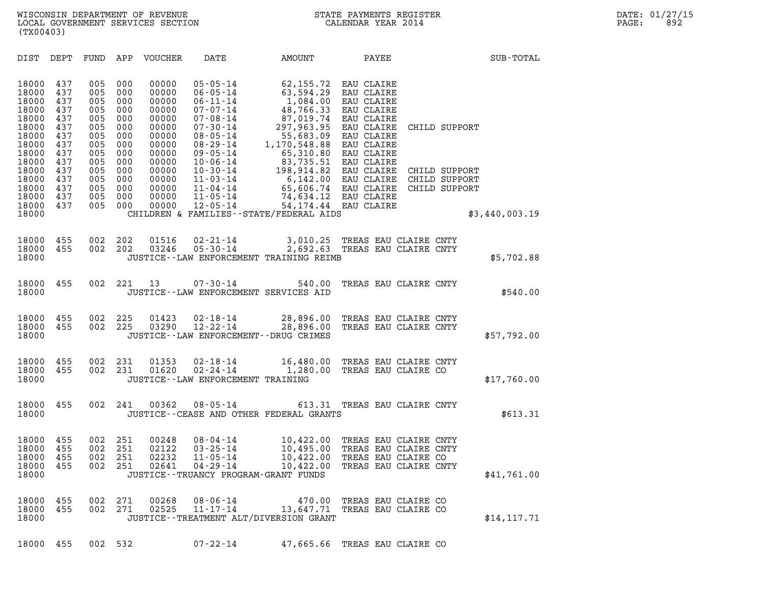| (TX00403)                                                                              |                                                                    |                                                                    |                                                                    |                                                                                        |                                                                                                                                                                |                                                                                                                                                           |                                                                                                                                          |                                                 |                |  |
|----------------------------------------------------------------------------------------|--------------------------------------------------------------------|--------------------------------------------------------------------|--------------------------------------------------------------------|----------------------------------------------------------------------------------------|----------------------------------------------------------------------------------------------------------------------------------------------------------------|-----------------------------------------------------------------------------------------------------------------------------------------------------------|------------------------------------------------------------------------------------------------------------------------------------------|-------------------------------------------------|----------------|--|
| DIST                                                                                   | DEPT                                                               | FUND APP                                                           |                                                                    | VOUCHER                                                                                | DATE                                                                                                                                                           | AMOUNT                                                                                                                                                    |                                                                                                                                          | <b>PAYEE</b>                                    | SUB-TOTAL      |  |
| 18000<br>18000<br>18000<br>18000<br>18000<br>18000<br>18000<br>18000<br>18000<br>18000 | 437<br>437<br>437<br>437<br>437<br>437<br>437<br>437<br>437<br>437 | 005<br>005<br>005<br>005<br>005<br>005<br>005<br>005<br>005<br>005 | 000<br>000<br>000<br>000<br>000<br>000<br>000<br>000<br>000<br>000 | 00000<br>00000<br>00000<br>00000<br>00000<br>00000<br>00000<br>00000<br>00000<br>00000 | $05 - 05 - 14$<br>$06 - 05 - 14$<br>$06 - 11 - 14$<br>07-07-14<br>$07 - 08 - 14$<br>$07 - 30 - 14$<br>$08 - 05 - 14$<br>08-29-14<br>09-05-14<br>$10 - 06 - 14$ | 62,155.72<br>63,594.29<br>1,084.00<br>48,766.33<br>87,019.74<br>297,963.95<br>55,683.09<br>1,170,548.88<br>65,310.80<br>83,735.51                         | EAU CLAIRE<br>EAU CLAIRE<br>EAU CLAIRE<br>EAU CLAIRE<br>EAU CLAIRE<br>EAU CLAIRE<br>EAU CLAIRE<br>EAU CLAIRE<br>EAU CLAIRE<br>EAU CLAIRE | CHILD SUPPORT                                   |                |  |
| 18000<br>18000<br>18000<br>18000<br>18000<br>18000                                     | 437<br>437<br>437<br>437<br>437                                    | 005<br>005<br>005<br>005<br>005                                    | 000<br>000<br>000<br>000<br>000                                    | 00000<br>00000<br>00000<br>00000<br>00000                                              | $10 - 30 - 14$<br>11-03-14<br>$11 - 04 - 14$<br>$11 - 05 - 14$<br>$12 - 05 - 14$                                                                               | 198,914.82<br>$6,142.00$ EAU CLAIRE<br>65,606.74 EAU CLAIRE<br>74,634.12 EAU CLAIRE<br>54,174.44 EAU CLAIRE<br>CHILDREN & FAMILIES - - STATE/FEDERAL AIDS | EAU CLAIRE                                                                                                                               | CHILD SUPPORT<br>CHILD SUPPORT<br>CHILD SUPPORT | \$3,440,003.19 |  |
| 18000<br>18000<br>18000                                                                | 455<br>455                                                         | 002<br>002                                                         | 202<br>202                                                         | 01516<br>03246                                                                         | $02 - 21 - 14$<br>$05 - 30 - 14$                                                                                                                               | 3,010.25<br>JUSTICE--LAW ENFORCEMENT TRAINING REIMB                                                                                                       | TREAS EAU CLAIRE CNTY<br>2,692.63 TREAS EAU CLAIRE CNTY                                                                                  |                                                 | \$5,702.88     |  |
| 18000<br>18000                                                                         | 455                                                                | 002                                                                | 221                                                                | 13                                                                                     | $07 - 30 - 14$                                                                                                                                                 | 540.00<br>JUSTICE--LAW ENFORCEMENT SERVICES AID                                                                                                           | TREAS EAU CLAIRE CNTY                                                                                                                    |                                                 | \$540.00       |  |
| 18000<br>18000<br>18000                                                                | 455<br>455                                                         | 002<br>002                                                         | 225<br>225                                                         | 01423<br>03290                                                                         | 02-18-14<br>$12 - 22 - 14$                                                                                                                                     | 28,896.00 TREAS EAU CLAIRE CNTY<br>28,896.00<br>JUSTICE - - LAW ENFORCEMENT - - DRUG CRIMES                                                               | TREAS EAU CLAIRE CNTY                                                                                                                    |                                                 | \$57,792.00    |  |
| 18000<br>18000<br>18000                                                                | 455<br>455                                                         | 002<br>002                                                         | 231<br>231                                                         | 01353<br>01620                                                                         | 02-18-14<br>$02 - 24 - 14$<br>JUSTICE--LAW ENFORCEMENT TRAINING                                                                                                | 16,480.00<br>1,280.00                                                                                                                                     | TREAS EAU CLAIRE CNTY<br>TREAS EAU CLAIRE CO                                                                                             |                                                 | \$17,760.00    |  |
| 18000<br>18000                                                                         | 455                                                                | 002                                                                | 241                                                                | 00362                                                                                  | $08 - 05 - 14$                                                                                                                                                 | JUSTICE -- CEASE AND OTHER FEDERAL GRANTS                                                                                                                 | 613.31 TREAS EAU CLAIRE CNTY                                                                                                             |                                                 | \$613.31       |  |
| 18000<br>18000<br>18000<br>18000<br>18000                                              | 455<br>455<br>455<br>455                                           | 002<br>002<br>002                                                  | 251<br>251<br>251<br>002 251                                       | 00248<br>02122<br>02232                                                                | 08-04-14<br>$03 - 25 - 14$<br>$11 - 05 - 14$<br>JUSTICE - - TRUANCY PROGRAM - GRANT FUNDS                                                                      | 10,422.00 TREAS EAU CLAIRE CNTY<br>10,495.00<br>10,422.00<br>02641  04-29-14  10,422.00 TREAS EAU CLAIRE CNTY                                             | TREAS EAU CLAIRE CNTY<br>TREAS EAU CLAIRE CO                                                                                             |                                                 | \$41,761.00    |  |
| 18000<br>18000<br>18000                                                                | 455<br>455                                                         | 002<br>002                                                         | 271<br>271                                                         | 00268<br>02525                                                                         | 08-06-14<br>11-17-14                                                                                                                                           | 13,647.71 TREAS EAU CLAIRE CO<br>JUSTICE - - TREATMENT ALT/DIVERSION GRANT                                                                                | 470.00 TREAS EAU CLAIRE CO                                                                                                               |                                                 | \$14, 117.71   |  |
| 18000 455                                                                              |                                                                    | 002 532                                                            |                                                                    |                                                                                        | $07 - 22 - 14$                                                                                                                                                 | 47,665.66 TREAS EAU CLAIRE CO                                                                                                                             |                                                                                                                                          |                                                 |                |  |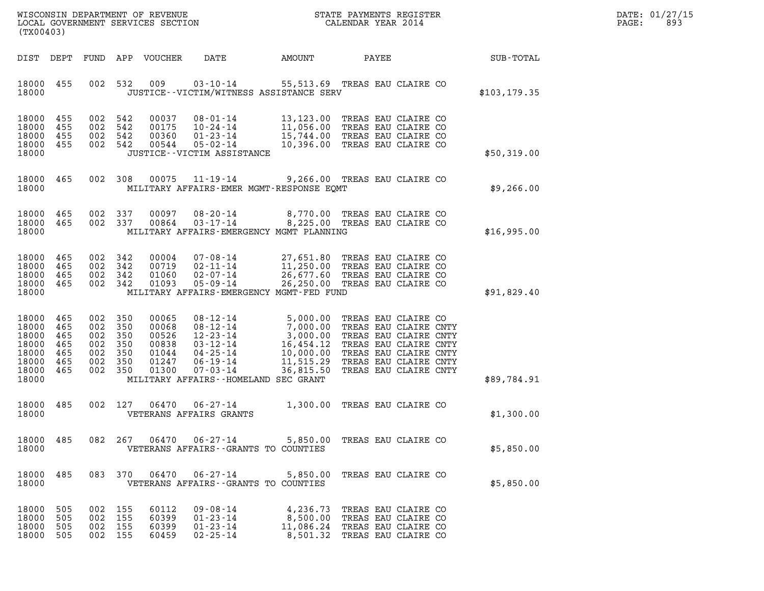|       | DATE: 01/27/15 |
|-------|----------------|
| PAGE: | 893            |

| (TX00403)                                                            |                                               |                                                                           |                                                             |                                                                      |        |                                                                                                                                                                                                                                          |               | DATE: 01/27/15<br>PAGE:<br>893 |
|----------------------------------------------------------------------|-----------------------------------------------|---------------------------------------------------------------------------|-------------------------------------------------------------|----------------------------------------------------------------------|--------|------------------------------------------------------------------------------------------------------------------------------------------------------------------------------------------------------------------------------------------|---------------|--------------------------------|
| DIST DEPT                                                            |                                               |                                                                           | FUND APP VOUCHER                                            | DATE                                                                 | AMOUNT | PAYEE                                                                                                                                                                                                                                    | SUB-TOTAL     |                                |
| 18000 455<br>18000                                                   |                                               |                                                                           | 002 532 009                                                 | JUSTICE -- VICTIM/WITNESS ASSISTANCE SERV                            |        | 03-10-14 55,513.69 TREAS EAU CLAIRE CO                                                                                                                                                                                                   | \$103, 179.35 |                                |
| 18000<br>18000<br>18000<br>18000<br>18000                            | 455<br>455<br>455<br>455                      | 002 542<br>002 542<br>002 542<br>002 542                                  | 00037<br>00175<br>00360<br>00544                            | JUSTICE - - VICTIM ASSISTANCE                                        |        | 08-01-14 13,123.00 TREAS EAU CLAIRE CO<br>10-24-14 11,056.00 TREAS EAU CLAIRE CO<br>01-23-14 15,744.00 TREAS EAU CLAIRE CO<br>05-02-14 10,396.00 TREAS EAU CLAIRE CO                                                                     | \$50,319.00   |                                |
| 18000<br>18000                                                       | 465                                           | 002 308                                                                   | 00075                                                       | $11 - 19 - 14$<br>MILITARY AFFAIRS-EMER MGMT-RESPONSE EQMT           |        | 9,266.00 TREAS EAU CLAIRE CO                                                                                                                                                                                                             | \$9,266.00    |                                |
| 18000<br>18000 465<br>18000                                          | 465                                           | 002 337<br>002 337                                                        | 00097<br>00864                                              | $03 - 17 - 14$<br>MILITARY AFFAIRS-EMERGENCY MGMT PLANNING           |        | 08-20-14 8,770.00 TREAS EAU CLAIRE CO<br>8,225.00 TREAS EAU CLAIRE CO                                                                                                                                                                    | \$16,995.00   |                                |
| 18000<br>18000<br>18000<br>18000<br>18000                            | 465<br>465<br>465<br>465                      | 002 342<br>002 342<br>002 342<br>002 342                                  | 00004<br>00719<br>01060<br>01093                            | 05-09-14<br>MILITARY AFFAIRS-EMERGENCY MGMT-FED FUND                 |        | 07-08-14 27,651.80 TREAS EAU CLAIRE CO<br>02-11-14 11,250.00 TREAS EAU CLAIRE CO<br>02-07-14 26,677.60 TREAS EAU CLAIRE CO<br>26,250.00 TREAS EAU CLAIRE CO                                                                              | \$91,829.40   |                                |
| 18000<br>18000<br>18000<br>18000<br>18000<br>18000<br>18000<br>18000 | 465<br>465<br>465<br>465<br>465<br>465<br>465 | 002 350<br>002 350<br>002 350<br>002 350<br>002 350<br>002 350<br>002 350 | 00065<br>00068<br>00526<br>00838<br>01044<br>01247<br>01300 | MILITARY AFFAIRS--HOMELAND SEC GRANT                                 |        | 08-12-14 5,000.00 TREAS EAU CLAIRE CO<br>08-12-14 7,000.00 TREAS EAU CLAIRE CNTY<br>12-23-14 3,000.00 TREAS EAU CLAIRE CNTY<br>03-12-14 16,454.12 TREAS EAU CLAIRE CNTY<br>04-25-14 10,000.00 TREAS EAU CLAIRE CNTY<br>06-19-14 11,515.2 | \$89,784.91   |                                |
| 18000 485<br>18000                                                   |                                               | 002 127                                                                   | 06470                                                       | 06-27-14<br>VETERANS AFFAIRS GRANTS                                  |        | 1,300.00 TREAS EAU CLAIRE CO                                                                                                                                                                                                             | \$1,300.00    |                                |
| 18000 485<br>18000                                                   |                                               |                                                                           |                                                             | VETERANS AFFAIRS - - GRANTS TO COUNTIES                              |        | 082  267  06470  06-27-14  5,850.00  TREAS EAU CLAIRE CO                                                                                                                                                                                 | \$5,850.00    |                                |
| 18000<br>18000                                                       | 485                                           |                                                                           | 083 370 06470                                               | 06-27-14<br>VETERANS AFFAIRS -- GRANTS TO COUNTIES                   |        | 5,850.00 TREAS EAU CLAIRE CO                                                                                                                                                                                                             | \$5,850.00    |                                |
| 18000<br>18000<br>18000<br>18000                                     | 505<br>505<br>505<br>505                      | 002 155<br>002 155<br>002 155<br>002 155                                  | 60112<br>60399<br>60399<br>60459                            | $09 - 08 - 14$<br>$01 - 23 - 14$<br>$01 - 23 - 14$<br>$02 - 25 - 14$ |        | 4,236.73 TREAS EAU CLAIRE CO<br>8,500.00 TREAS EAU CLAIRE CO<br>11,086.24 TREAS EAU CLAIRE CO<br>8,501.32 TREAS EAU CLAIRE CO                                                                                                            |               |                                |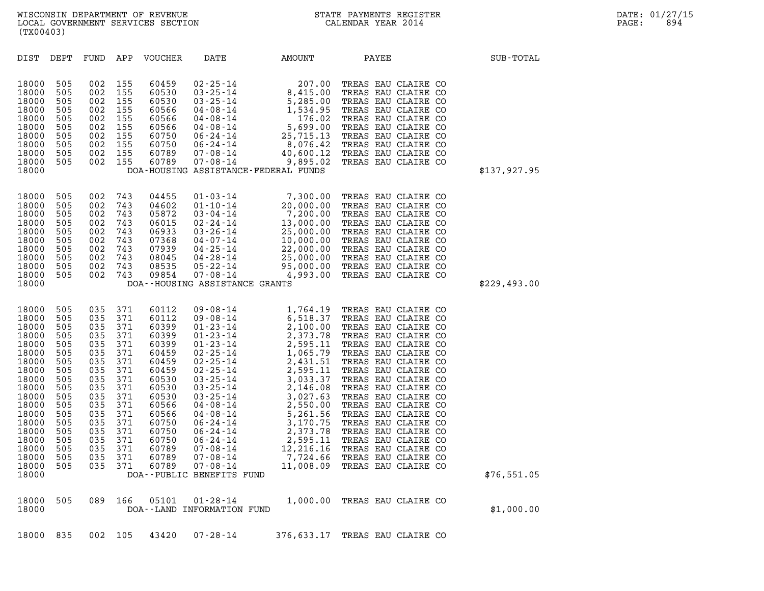| 18000<br>18000<br>18000<br>18000<br>18000<br>18000<br>18000<br>18000<br>18000                                                                                                    | 505<br>505<br>505<br>505<br>505<br>505<br>505<br>505                                                                              | 002<br>002<br>002<br>002<br>002<br>002<br>002<br>002                                                                              | 743<br>743<br>743<br>743<br>743<br>743<br>743<br>743                                                                              | 05872<br>06015<br>06933<br>07368<br>07939<br>08045<br>08535<br>09854                                                                                                    | $03 - 04 - 14$<br>02-24-14<br>03-26-14<br>04-07-14<br>04-25-14<br>04-28-14<br>05-22-14<br>07-08-14<br>DOA--HOUSING ASSISTANCE GRANTS                                                                                                                                                                                | 7,200.00<br>13,000.00<br>25,000.00<br>10,000.00<br>22,000.00<br>25,000.00<br>95,000.00<br>4,993.00                                                                                                                                                       | TREAS EAU CLAIRE CO<br>TREAS EAU CLAIRE CO<br>TREAS EAU CLAIRE CO<br>TREAS EAU CLAIRE CO<br>TREAS EAU CLAIRE CO<br>TREAS EAU CLAIRE CO<br>TREAS EAU CLAIRE CO<br>TREAS EAU CLAIRE CO                                                                                                                                                                                                                                                              | \$229,493.00 |
|----------------------------------------------------------------------------------------------------------------------------------------------------------------------------------|-----------------------------------------------------------------------------------------------------------------------------------|-----------------------------------------------------------------------------------------------------------------------------------|-----------------------------------------------------------------------------------------------------------------------------------|-------------------------------------------------------------------------------------------------------------------------------------------------------------------------|---------------------------------------------------------------------------------------------------------------------------------------------------------------------------------------------------------------------------------------------------------------------------------------------------------------------|----------------------------------------------------------------------------------------------------------------------------------------------------------------------------------------------------------------------------------------------------------|---------------------------------------------------------------------------------------------------------------------------------------------------------------------------------------------------------------------------------------------------------------------------------------------------------------------------------------------------------------------------------------------------------------------------------------------------|--------------|
| 18000<br>18000<br>18000<br>18000<br>18000<br>18000<br>18000<br>18000<br>18000<br>18000<br>18000<br>18000<br>18000<br>18000<br>18000<br>18000<br>18000<br>18000<br>18000<br>18000 | 505<br>505<br>505<br>505<br>505<br>505<br>505<br>505<br>505<br>505<br>505<br>505<br>505<br>505<br>505<br>505<br>505<br>505<br>505 | 035<br>035<br>035<br>035<br>035<br>035<br>035<br>035<br>035<br>035<br>035<br>035<br>035<br>035<br>035<br>035<br>035<br>035<br>035 | 371<br>371<br>371<br>371<br>371<br>371<br>371<br>371<br>371<br>371<br>371<br>371<br>371<br>371<br>371<br>371<br>371<br>371<br>371 | 60112<br>60112<br>60399<br>60399<br>60399<br>60459<br>60459<br>60459<br>60530<br>60530<br>60530<br>60566<br>60566<br>60750<br>60750<br>60750<br>60789<br>60789<br>60789 | $09 - 08 - 14$<br>$09 - 08 - 14$<br>$01 - 23 - 14$<br>$01 - 23 - 14$<br>$01 - 23 - 14$<br>02-25-14<br>02-25-14<br>02-25-14<br>03-25-14<br>03-25-14<br>$03 - 25 - 14$<br>04-08-14<br>04-08-14<br>$06 - 24 - 14$<br>06-24-14<br>06-24-14<br>07-08-14<br>$07 - 08 - 14$<br>$07 - 08 - 14$<br>DOA--PUBLIC BENEFITS FUND | 1,764.19<br>6,518.37<br>5, 518.37<br>2, 100.00<br>2, 373.78<br>2, 595.11<br>1, 065.79<br>2, 431.51<br>2, 595.11<br>3, 033.37<br>2, 146.08<br>3,027.63<br>2,550.00<br>5,261.56<br>3,170.75<br>2,373.78<br>$2,595.11$<br>$12.215$<br>7,724.66<br>11,008.09 | TREAS EAU CLAIRE CO<br>TREAS EAU CLAIRE CO<br>TREAS EAU CLAIRE CO<br>TREAS EAU CLAIRE CO<br>TREAS EAU CLAIRE CO<br>TREAS EAU CLAIRE CO<br>TREAS EAU CLAIRE CO<br>TREAS EAU CLAIRE CO<br>TREAS EAU CLAIRE CO<br>TREAS EAU CLAIRE CO<br>TREAS EAU CLAIRE CO<br>TREAS EAU CLAIRE CO<br>TREAS EAU CLAIRE CO<br>TREAS EAU CLAIRE CO<br>TREAS EAU CLAIRE CO<br>TREAS EAU CLAIRE CO<br>TREAS EAU CLAIRE CO<br>TREAS EAU CLAIRE CO<br>TREAS EAU CLAIRE CO | \$76,551.05  |
| 18000<br>18000                                                                                                                                                                   | 505                                                                                                                               | 089                                                                                                                               | 166                                                                                                                               | 05101                                                                                                                                                                   | $01 - 28 - 14$<br>DOA--LAND INFORMATION FUND                                                                                                                                                                                                                                                                        | 1,000.00                                                                                                                                                                                                                                                 | TREAS EAU CLAIRE CO                                                                                                                                                                                                                                                                                                                                                                                                                               | \$1,000.00   |
| 18000                                                                                                                                                                            | 835                                                                                                                               | 002                                                                                                                               | 105                                                                                                                               | 43420                                                                                                                                                                   | $07 - 28 - 14$                                                                                                                                                                                                                                                                                                      | 376,633.17                                                                                                                                                                                                                                               | TREAS EAU CLAIRE CO                                                                                                                                                                                                                                                                                                                                                                                                                               |              |

| DIST                                                                                   | DEPT                                                               | FUND APP                                                           |                                                                    | VOUCHER                                                                                | DATE                                                                                                                       | AMOUNT                                                                                                             | PAYEE                                                                                                                                                                                                                              | SUB-TOTAL    |
|----------------------------------------------------------------------------------------|--------------------------------------------------------------------|--------------------------------------------------------------------|--------------------------------------------------------------------|----------------------------------------------------------------------------------------|----------------------------------------------------------------------------------------------------------------------------|--------------------------------------------------------------------------------------------------------------------|------------------------------------------------------------------------------------------------------------------------------------------------------------------------------------------------------------------------------------|--------------|
| 18000<br>18000<br>18000<br>18000<br>18000<br>18000<br>18000<br>18000<br>18000<br>18000 | 505<br>505<br>505<br>505<br>505<br>505<br>505<br>505<br>505<br>505 | 002<br>002<br>002<br>002<br>002<br>002<br>002<br>002<br>002<br>002 | 155<br>155<br>155<br>155<br>155<br>155<br>155<br>155<br>155<br>155 | 60459<br>60530<br>60530<br>60566<br>60566<br>60566<br>60750<br>60750<br>60789<br>60789 | 02-25-14<br>03-25-14<br>$03 - 25 - 14$<br>04-08-14<br>04-08-14<br>04-08-14<br>06-24-14<br>06-24-14<br>07-08-14<br>07-08-14 | 207.00<br>8,415.00<br>5,285.00<br>1,534.95<br>176.02<br>5,699.00<br>25,715.13<br>8,076.42<br>40,600.12<br>9,895.02 | TREAS EAU CLAIRE CO<br>TREAS EAU CLAIRE CO<br>TREAS EAU CLAIRE CO<br>TREAS EAU CLAIRE CO<br>TREAS EAU CLAIRE CO<br>TREAS EAU CLAIRE CO<br>TREAS EAU CLAIRE CO<br>TREAS EAU CLAIRE CO<br>TREAS EAU CLAIRE CO<br>TREAS EAU CLAIRE CO |              |
| 18000                                                                                  |                                                                    |                                                                    |                                                                    |                                                                                        |                                                                                                                            | DOA-HOUSING ASSISTANCE-FEDERAL FUNDS                                                                               |                                                                                                                                                                                                                                    | \$137,927.95 |
| 18000<br>18000<br>18000<br>18000<br>18000<br>18000                                     | 505<br>505<br>505<br>505<br>505<br>505                             | 002<br>002<br>002<br>002<br>002<br>002                             | 743<br>743<br>743<br>743<br>743<br>743                             | 04455<br>04602<br>05872<br>06015<br>06933<br>07368                                     | $01 - 03 - 14$<br>01-10-14<br>03-04-14<br>02-24-14<br>$03 - 26 - 14$<br>$04 - 07 - 14$                                     | 7,300.00<br>20,000.00<br>7,200.00<br>13,000.00<br>25,000.00<br>10,000,00                                           | TREAS EAU CLAIRE CO<br>TREAS EAU CLAIRE CO<br>TREAS EAU CLAIRE CO<br>TREAS EAU CLAIRE CO<br>TREAS EAU CLAIRE CO<br>TREAS EAU CLAIRE CO                                                                                             |              |

DIST DEPT FUND APP VOUCHER DATE AMOUNT PAYEE SUB-TOTAL

## WISCONSIN DEPARTMENT OF REVENUE<br>LOCAL GOVERNMENT SERVICES SECTION STATE PAYMENTS REGISTER SOLL SOLL DATE: 01/27/15<br>DOCAL GOVERNMENT SERVICES SECTION STATE SOLLENDAR YEAR 2014 WISCONSIN DEPARTMENT OF REVENUE<br>LOCAL GOVERNMENT SERVICES SECTION CALENDAR YEAR 2014<br>(TX00403) (TX00403)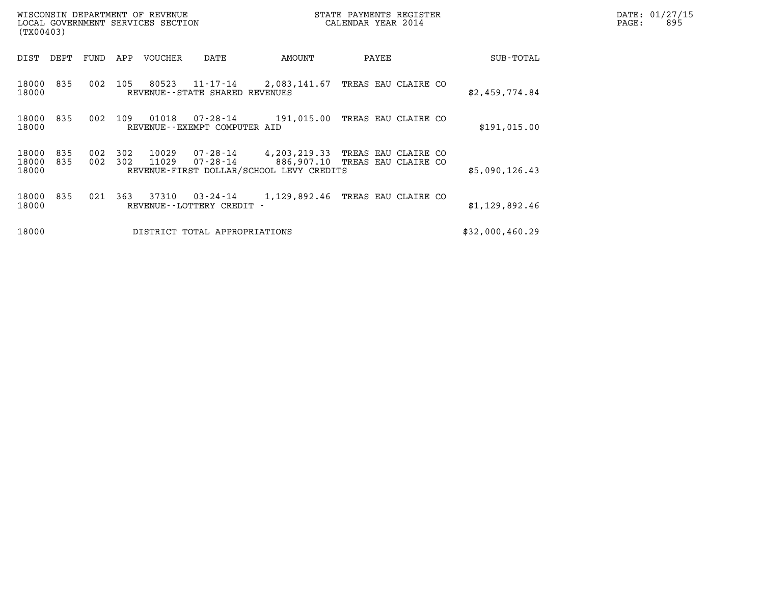| WISCONSIN DEPARTMENT OF REVENUE   | STATE PAYMENTS REGISTER | DATE: 01/27/15 |
|-----------------------------------|-------------------------|----------------|
| LOCAL GOVERNMENT SERVICES SECTION | CALENDAR YEAR 2014      | 895<br>PAGE:   |

| (TX00403)                                           | WISCONSIN DEPARTMENT OF REVENUE<br>STATE PAYMENTS REGISTER<br>CALENDAR YEAR 2014<br>LOCAL GOVERNMENT SERVICES SECTION |                                                           |                     |                 |  |  |  |  |
|-----------------------------------------------------|-----------------------------------------------------------------------------------------------------------------------|-----------------------------------------------------------|---------------------|-----------------|--|--|--|--|
| DIST<br>FUND<br>DEPT                                | APP<br><b>VOUCHER</b><br>DATE                                                                                         | AMOUNT                                                    | PAYEE               | SUB-TOTAL       |  |  |  |  |
| 835<br>002<br>18000<br>18000                        | 105<br>80523<br>11-17-14<br>REVENUE - - STATE SHARED REVENUES                                                         | 2,083,141.67                                              | TREAS EAU CLAIRE CO | \$2,459,774.84  |  |  |  |  |
| 002<br>18000<br>835<br>18000                        | 109<br>01018<br>07-28-14<br>REVENUE - - EXEMPT COMPUTER AID                                                           | 191,015.00                                                | TREAS EAU CLAIRE CO | \$191,015.00    |  |  |  |  |
| 18000<br>835<br>002<br>835<br>002<br>18000<br>18000 | 302<br>10029<br>302<br>11029<br>$07 - 28 - 14$<br>REVENUE-FIRST DOLLAR/SCHOOL LEVY CREDITS                            | 07-28-14   4,203,219.33 TREAS EAU CLAIRE CO<br>886,907.10 | TREAS EAU CLAIRE CO | \$5,090,126.43  |  |  |  |  |
| 835<br>021<br>18000<br>18000                        | 363<br>37310<br>03-24-14<br>REVENUE - - LOTTERY CREDIT -                                                              | 1,129,892.46                                              | TREAS EAU CLAIRE CO | \$1,129,892.46  |  |  |  |  |
| 18000                                               | DISTRICT TOTAL APPROPRIATIONS                                                                                         |                                                           |                     | \$32,000,460.29 |  |  |  |  |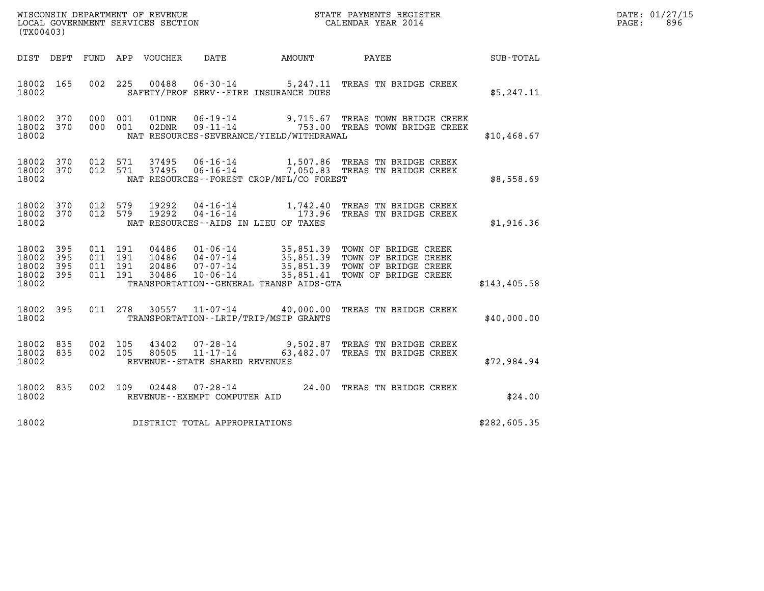| (TX00403)                                     |                   |         |                               |  |                                              |                                                                                                                                                                                                              |              | DATE: 01/27/15<br>$\mathtt{PAGE:}$<br>896 |
|-----------------------------------------------|-------------------|---------|-------------------------------|--|----------------------------------------------|--------------------------------------------------------------------------------------------------------------------------------------------------------------------------------------------------------------|--------------|-------------------------------------------|
|                                               |                   |         |                               |  | DIST DEPT FUND APP VOUCHER DATE AMOUNT PAYEE |                                                                                                                                                                                                              | SUB-TOTAL    |                                           |
| 18002 165<br>18002                            |                   |         |                               |  | SAFETY/PROF SERV--FIRE INSURANCE DUES        | 002 225 00488 06-30-14 5,247.11 TREAS TN BRIDGE CREEK                                                                                                                                                        | \$5,247.11   |                                           |
| 18002                                         |                   |         |                               |  | NAT RESOURCES-SEVERANCE/YIELD/WITHDRAWAL     | 18002 370 000 001 01DNR 06-19-14 9,715.67 TREAS TOWN BRIDGE CREEK 18002 370 000 001 02DNR 09-11-14 753.00 TREAS TOWN BRIDGE CREEK                                                                            | \$10,468.67  |                                           |
| 18002                                         |                   |         |                               |  | NAT RESOURCES--FOREST CROP/MFL/CO FOREST     | 18002 370 012 571 37495 06-16-14 1,507.86 TREAS TN BRIDGE CREEK<br>18002 370 012 571 37495 06-16-14 7,050.83 TREAS TN BRIDGE CREEK                                                                           | \$8,558.69   |                                           |
| 18002                                         |                   |         |                               |  | NAT RESOURCES--AIDS IN LIEU OF TAXES         | 18002 370 012 579 19292 04-16-14 1,742.40 TREAS TN BRIDGE CREEK<br>18002 370 012 579 19292 04-16-14 173.96 TREAS TN BRIDGE CREEK                                                                             | \$1,916.36   |                                           |
| 18002 395<br>18002<br>18002<br>18002<br>18002 | 395<br>395<br>395 | 011 191 | 011 191<br>011 191<br>011 191 |  | TRANSPORTATION--GENERAL TRANSP AIDS-GTA      | 04486  01-06-14  35,851.39  TOWN OF BRIDGE CREEK<br>10486  04-07-14  35,851.39  TOWN OF BRIDGE CREEK<br>20486  07-07-14  35,851.39  TOWN OF BRIDGE CREEK<br>30486  10-06-14  35,851.41  TOWN OF BRIDGE CREEK | \$143,405.58 |                                           |
| 18002 395<br>18002                            |                   |         |                               |  | TRANSPORTATION - - LRIP/TRIP/MSIP GRANTS     | 011 278 30557 11-07-14 40,000.00 TREAS TN BRIDGE CREEK                                                                                                                                                       | \$40,000.00  |                                           |
| 18002                                         |                   |         |                               |  | REVENUE--STATE SHARED REVENUES               | 18002 835 002 105 43402 07-28-14 9,502.87 TREAS TN BRIDGE CREEK<br>18002 835 002 105 80505 11-17-14 63,482.07 TREAS TN BRIDGE CREEK                                                                          | \$72,984.94  |                                           |
| 18002 835<br>18002                            |                   |         |                               |  | REVENUE--EXEMPT COMPUTER AID                 | 002 109 02448 07-28-14 24.00 TREAS TN BRIDGE CREEK                                                                                                                                                           | \$24.00      |                                           |

18002 835 002 109 02448 07-28-14<br>18002 18902 REVENUE--EXEMPT COMPUTER AID \$24.00 TREAS TN BRIDGE CREEK \$24.00 18002 REVENUE -- EXEMPT COMPUTER AID<br>18002 DISTRICT TOTAL APPROPRIATIONS \$282,605.35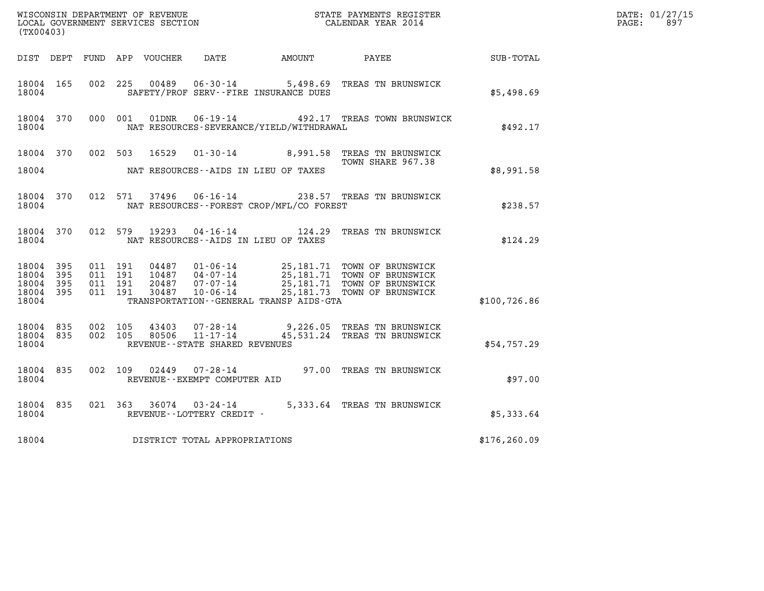|                             |                        |                               |         |                |                                                  |                                              |                                                                                                                               |              | DATE: 01/27/15<br>$\mathtt{PAGE:}$<br>897 |
|-----------------------------|------------------------|-------------------------------|---------|----------------|--------------------------------------------------|----------------------------------------------|-------------------------------------------------------------------------------------------------------------------------------|--------------|-------------------------------------------|
| (TX00403)                   |                        |                               |         |                |                                                  |                                              |                                                                                                                               |              |                                           |
|                             |                        |                               |         |                |                                                  | DIST DEPT FUND APP VOUCHER DATE AMOUNT PAYEE |                                                                                                                               | SUB-TOTAL    |                                           |
| 18004 165<br>18004          |                        |                               | 002 225 |                |                                                  | SAFETY/PROF SERV--FIRE INSURANCE DUES        | 00489  06-30-14  5,498.69  TREAS TN BRUNSWICK                                                                                 | \$5,498.69   |                                           |
| 18004 370<br>18004          |                        |                               | 000 001 | 01DNR          |                                                  | NAT RESOURCES-SEVERANCE/YIELD/WITHDRAWAL     | 06-19-14 492.17 TREAS TOWN BRUNSWICK                                                                                          | \$492.17     |                                           |
|                             |                        | 18004 370 002 503             |         | 16529          |                                                  |                                              | 01-30-14 8,991.58 TREAS TN BRUNSWICK<br>TOWN SHARE 967.38                                                                     |              |                                           |
| 18004                       |                        |                               |         |                |                                                  | NAT RESOURCES--AIDS IN LIEU OF TAXES         |                                                                                                                               | \$8,991.58   |                                           |
| 18004                       | 18004 370              |                               |         |                |                                                  | NAT RESOURCES - - FOREST CROP/MFL/CO FOREST  | 012 571 37496 06-16-14 238.57 TREAS TN BRUNSWICK                                                                              | \$238.57     |                                           |
| 18004 370<br>18004          |                        |                               | 012 579 | 19293          |                                                  | NAT RESOURCES -- AIDS IN LIEU OF TAXES       | 04-16-14 124.29 TREAS TN BRUNSWICK                                                                                            | \$124.29     |                                           |
| 18004 395<br>18004<br>18004 | 395<br>395             | 011 191<br>011 191<br>011 191 |         | 20487          | 07-07-14<br>10-06-14                             |                                              | 04487  01-06-14  25,181.71  TOWN OF BRUNSWICK<br>10487  04-07-14  25,181.71  TOWN OF BRUNSWICK<br>25,181.71 TOWN OF BRUNSWICK |              |                                           |
| 18004 395<br>18004          |                        | 011 191                       |         | 30487          |                                                  | TRANSPORTATION--GENERAL TRANSP AIDS-GTA      | 25,181.73 TOWN OF BRUNSWICK                                                                                                   | \$100,726.86 |                                           |
| 18004                       | 18004 835<br>18004 835 | 002 105<br>002 105            |         | 43403<br>80506 | $07 - 28 - 14$<br>REVENUE--STATE SHARED REVENUES |                                              | 9,226.05 TREAS TN BRUNSWICK<br>11-17-14 45,531.24 TREAS TN BRUNSWICK                                                          | \$54,757.29  |                                           |
| 18004 835<br>18004          |                        |                               |         |                | REVENUE--EXEMPT COMPUTER AID                     |                                              | 002 109 02449 07-28-14 97.00 TREAS TN BRUNSWICK                                                                               | \$97.00      |                                           |
| 18004 835<br>18004          |                        |                               |         |                | REVENUE--LOTTERY CREDIT -                        |                                              | 021 363 36074 03-24-14 5,333.64 TREAS TN BRUNSWICK                                                                            | \$5,333.64   |                                           |
| 18004                       |                        |                               |         |                | DISTRICT TOTAL APPROPRIATIONS                    |                                              |                                                                                                                               | \$176,260.09 |                                           |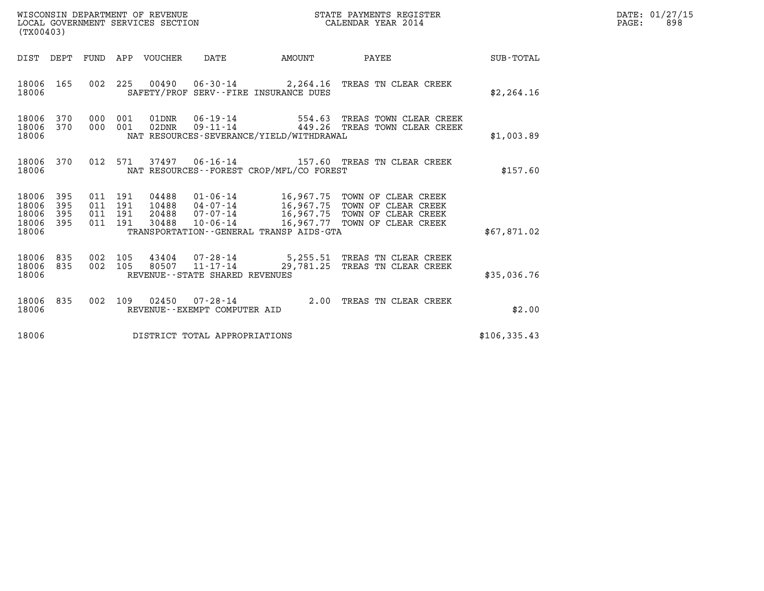| WISCONSIN DEPARTMENT OF REVENUE<br>LOCAL GOVERNMENT SERVICES SECTION<br>(TX00403) |                   |         |         |                                 |                                |                                              | STATE PAYMENTS REGISTER<br>CALENDAR YEAR 2014                                                                                                                                                                         |              | DATE: 01/27/15<br>$\mathtt{PAGE:}$<br>898 |
|-----------------------------------------------------------------------------------|-------------------|---------|---------|---------------------------------|--------------------------------|----------------------------------------------|-----------------------------------------------------------------------------------------------------------------------------------------------------------------------------------------------------------------------|--------------|-------------------------------------------|
|                                                                                   |                   |         |         | DIST DEPT FUND APP VOUCHER DATE |                                | AMOUNT PAYEE                                 |                                                                                                                                                                                                                       | SUB-TOTAL    |                                           |
| 18006                                                                             |                   |         |         |                                 |                                | SAFETY/PROF SERV--FIRE INSURANCE DUES        | 18006 165 002 225 00490 06-30-14 2,264.16 TREAS TN CLEAR CREEK                                                                                                                                                        | \$2,264.16   |                                           |
| 18006<br>18006                                                                    | 370               |         |         |                                 |                                | NAT RESOURCES-SEVERANCE/YIELD/WITHDRAWAL     | 18006 370 000 001 01DNR 06-19-14 554.63 TREAS TOWN CLEAR CREEK<br>000 001 02DNR 09-11-14 $\overline{449.26}$ TREAS TOWN CLEAR CREEK                                                                                   | \$1,003.89   |                                           |
| 18006                                                                             |                   |         |         |                                 |                                | NAT RESOURCES--FOREST CROP/MFL/CO FOREST     | 18006 370 012 571 37497 06-16-14 157.60 TREAS TN CLEAR CREEK                                                                                                                                                          | \$157.60     |                                           |
| 18006 395<br>18006<br>18006<br>18006<br>18006                                     | 395<br>395<br>395 | 011 191 | 011 191 |                                 |                                | TRANSPORTATION - - GENERAL TRANSP AIDS - GTA | 011 191 04488 01-06-14 16,967.75 TOWN OF CLEAR CREEK<br>011 191 10488 04-07-14 16,967.75 TOWN OF CLEAR CREEK<br>20488  07-07-14   16,967.75  TOWN OF CLEAR CREEK<br>30488   10-06-14   16,967.77  TOWN OF CLEAR CREEK | \$67,871.02  |                                           |
| 18006<br>18006                                                                    |                   |         |         |                                 | REVENUE--STATE SHARED REVENUES |                                              | 18006 835 002 105 43404 07-28-14 5,255.51 TREAS TN CLEAR CREEK<br>835 002 105 80507 11-17-14 29,781.25 TREAS TN CLEAR CREEK                                                                                           | \$35,036.76  |                                           |
| 18006                                                                             |                   |         |         |                                 | REVENUE--EXEMPT COMPUTER AID   |                                              | 18006 835 002 109 02450 07-28-14 2.00 TREAS TN CLEAR CREEK                                                                                                                                                            | \$2.00       |                                           |
| 18006                                                                             |                   |         |         |                                 | DISTRICT TOTAL APPROPRIATIONS  |                                              |                                                                                                                                                                                                                       | \$106,335.43 |                                           |
|                                                                                   |                   |         |         |                                 |                                |                                              |                                                                                                                                                                                                                       |              |                                           |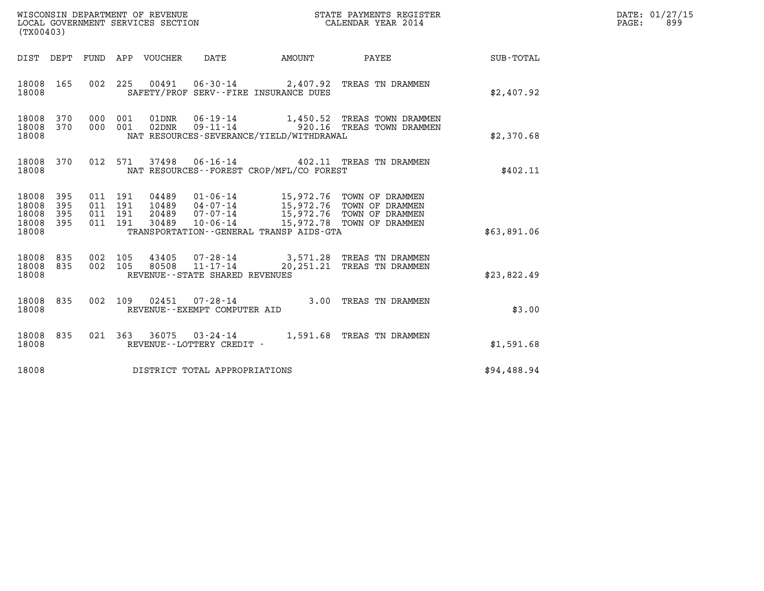| (TX00403)                                                       | WISCONSIN DEPARTMENT OF REVENUE<br>LOCAL GOVERNMENT SERVICES SECTION<br>LOCAL GOVERNMENT SERVICES SECTION<br>CALENDAR YEAR 2014                                                                                                                                                                                                                    |                                                                  |             | DATE: 01/27/15<br>PAGE: 899 |
|-----------------------------------------------------------------|----------------------------------------------------------------------------------------------------------------------------------------------------------------------------------------------------------------------------------------------------------------------------------------------------------------------------------------------------|------------------------------------------------------------------|-------------|-----------------------------|
|                                                                 | DIST DEPT FUND APP VOUCHER DATE                                                                                                                                                                                                                                                                                                                    | AMOUNT PAYEE                                                     | SUB-TOTAL   |                             |
| 18008 165<br>18008                                              | 002 225 00491 06-30-14 2,407.92 TREAS TN DRAMMEN<br>SAFETY/PROF SERV--FIRE INSURANCE DUES                                                                                                                                                                                                                                                          |                                                                  | \$2,407.92  |                             |
| 18008 370<br>18008 370<br>18008                                 | 000 001 01DNR 06-19-14 1,450.52 TREAS TOWN DRAMMEN<br>000 001 02DNR 09-11-14 920.16 TREAS TOWN DRAMMEN<br>NAT RESOURCES-SEVERANCE/YIELD/WITHDRAWAL                                                                                                                                                                                                 |                                                                  | \$2,370.68  |                             |
| 18008                                                           | 18008 370 012 571 37498 06-16-14 402.11 TREAS TN DRAMMEN<br>NAT RESOURCES - - FOREST CROP/MFL/CO FOREST                                                                                                                                                                                                                                            |                                                                  | \$402.11    |                             |
| 18008 395<br>18008<br>395<br>395<br>18008<br>18008 395<br>18008 | $\begin{tabular}{lllllllllll} 0.4489 & 01-06-14 & 15,972.76 & TOWN OF DRAMMEN \\ 10489 & 04-07-14 & 15,972.76 & TOWN OF DRAMMEN \\ 20489 & 07-07-14 & 15,972.76 & TOWN OF DRAMMEN \\ 30489 & 10-06-14 & 15,972.78 & TOWN OF DRAMMEN \end{tabular}$<br>011 191<br>04489<br>011 191<br>011 191<br>011 191<br>TRANSPORTATION--GENERAL TRANSP AIDS-GTA |                                                                  | \$63,891.06 |                             |
| 18008 835<br>18008 835<br>18008                                 | 002 105<br>43405<br>002 105<br>80508 11-17-14<br>REVENUE - - STATE SHARED REVENUES                                                                                                                                                                                                                                                                 | 07-28-14 3,571.28 TREAS TN DRAMMEN<br>20,251.21 TREAS TN DRAMMEN | \$23,822.49 |                             |
| 18008 835<br>18008                                              | 002 109 02451 07-28-14 3.00 TREAS TN DRAMMEN<br>REVENUE--EXEMPT COMPUTER AID                                                                                                                                                                                                                                                                       |                                                                  | \$3.00      |                             |
| 18008 835<br>18008                                              | 021 363 36075 03-24-14 1,591.68 TREAS TN DRAMMEN<br>REVENUE--LOTTERY CREDIT -                                                                                                                                                                                                                                                                      |                                                                  | \$1,591.68  |                             |
| 18008                                                           | DISTRICT TOTAL APPROPRIATIONS                                                                                                                                                                                                                                                                                                                      |                                                                  | \$94,488.94 |                             |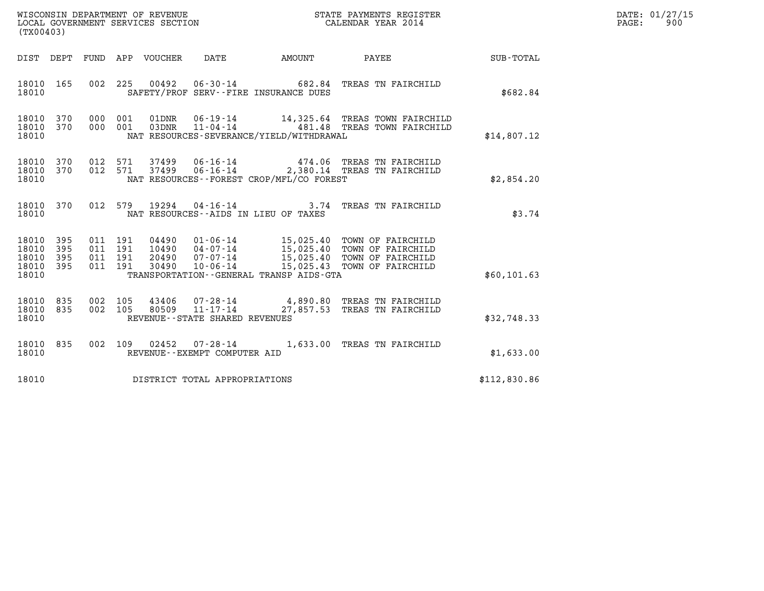| WISCONSIN DEPARTMENT OF REVENUE<br>LOCAL GOVERNMENT SERVICES SECTION<br>CALENDAR YEAR 2014<br>(TX00403) |                   |                                          |  |                                 |                                                     |                                          |                                                                                                                                                                                                  |              | DATE: 01/27/15<br>$\mathtt{PAGE:}$<br>900 |
|---------------------------------------------------------------------------------------------------------|-------------------|------------------------------------------|--|---------------------------------|-----------------------------------------------------|------------------------------------------|--------------------------------------------------------------------------------------------------------------------------------------------------------------------------------------------------|--------------|-------------------------------------------|
|                                                                                                         |                   |                                          |  | DIST DEPT FUND APP VOUCHER DATE |                                                     |                                          | AMOUNT PAYEE SUB-TOTAL                                                                                                                                                                           |              |                                           |
| 18010 165<br>18010                                                                                      |                   |                                          |  |                                 |                                                     | SAFETY/PROF SERV--FIRE INSURANCE DUES    | 002  225  00492  06-30-14  682.84  TREAS TN FAIRCHILD                                                                                                                                            | \$682.84     |                                           |
| 18010 370<br>18010 370<br>18010                                                                         |                   | 000 001<br>000 001                       |  |                                 |                                                     | NAT RESOURCES-SEVERANCE/YIELD/WITHDRAWAL |                                                                                                                                                                                                  | \$14,807.12  |                                           |
| 18010 370<br>18010 370<br>18010                                                                         |                   | 012 571<br>012 571                       |  |                                 |                                                     | NAT RESOURCES--FOREST CROP/MFL/CO FOREST |                                                                                                                                                                                                  | \$2,854.20   |                                           |
| 18010 370<br>18010                                                                                      |                   |                                          |  |                                 |                                                     | NAT RESOURCES--AIDS IN LIEU OF TAXES     | 012 579 19294 04-16-14 3.74 TREAS TN FAIRCHILD                                                                                                                                                   | \$3.74       |                                           |
| 18010<br>18010<br>18010<br>18010 395<br>18010                                                           | 395<br>395<br>395 | 011 191<br>011 191<br>011 191<br>011 191 |  |                                 |                                                     | TRANSPORTATION--GENERAL TRANSP AIDS-GTA  | 04490  01-06-14  15,025.40  TOWN OF FAIRCHILD<br>10490  04-07-14  15,025.40  TOWN OF FAIRCHILD<br>20490  07-07-14  15,025.40  TOWN OF FAIRCHILD<br>30490  10-06-14  15,025.43  TOWN OF FAIRCHILD | \$60,101.63  |                                           |
| 18010 835<br>18010 835<br>18010                                                                         |                   | 002 105<br>002 105                       |  |                                 | 80509 11-17-14<br>REVENUE - - STATE SHARED REVENUES |                                          | 43406 07-28-14 4,890.80 TREAS TN FAIRCHILD<br>27,857.53 TREAS TN FAIRCHILD                                                                                                                       | \$32,748.33  |                                           |
| 18010 835<br>18010                                                                                      |                   |                                          |  |                                 | REVENUE--EXEMPT COMPUTER AID                        |                                          | 002 109 02452 07-28-14 1,633.00 TREAS TN FAIRCHILD                                                                                                                                               | \$1,633.00   |                                           |
| 18010                                                                                                   |                   |                                          |  |                                 | DISTRICT TOTAL APPROPRIATIONS                       |                                          |                                                                                                                                                                                                  | \$112,830.86 |                                           |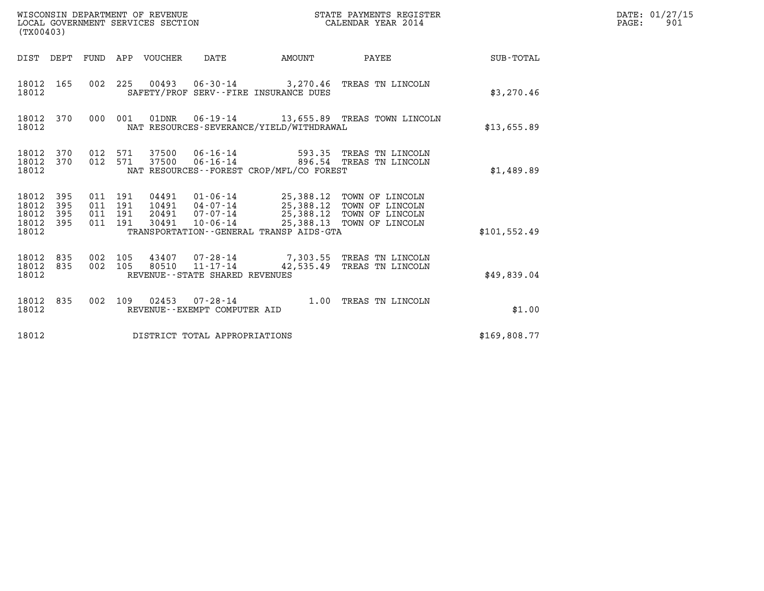| WISCONSIN DEPARTMENT OF REVENUE<br>LOCAL GOVERNMENT SERVICES SECTION<br>(TX00403) |                   |                                          |  |                            |                                |                                          | STATE PAYMENTS REGISTER<br>CALENDAR YEAR 2014                                                                                                        |               | DATE: 01/27/15<br>$\mathtt{PAGE}$ :<br>901 |
|-----------------------------------------------------------------------------------|-------------------|------------------------------------------|--|----------------------------|--------------------------------|------------------------------------------|------------------------------------------------------------------------------------------------------------------------------------------------------|---------------|--------------------------------------------|
|                                                                                   |                   |                                          |  | DIST DEPT FUND APP VOUCHER | DATE                           | AMOUNT                                   | <b>PAYEE</b> FOUND THE PAYEE                                                                                                                         | SUB-TOTAL     |                                            |
| 18012 165<br>18012                                                                |                   |                                          |  |                            |                                | SAFETY/PROF SERV--FIRE INSURANCE DUES    | 002 225 00493 06-30-14 3,270.46 TREAS TN LINCOLN                                                                                                     | \$3,270.46    |                                            |
| 18012 370<br>18012                                                                |                   |                                          |  |                            |                                | NAT RESOURCES-SEVERANCE/YIELD/WITHDRAWAL | 000 001 01DNR 06-19-14 13,655.89 TREAS TOWN LINCOLN                                                                                                  | \$13,655.89   |                                            |
| 18012 370<br>18012 370<br>18012                                                   |                   | 012 571<br>012 571                       |  |                            |                                | NAT RESOURCES--FOREST CROP/MFL/CO FOREST | 593.35 TREAS TN LINCOLN<br>37500 06-16-14 896.54 TREAS TN LINCOLN                                                                                    | \$1,489.89    |                                            |
| 18012 395<br>18012<br>18012<br>18012<br>18012                                     | 395<br>395<br>395 | 011 191<br>011 191<br>011 191<br>011 191 |  | 30491                      | 20491 07-07-14<br>10-06-14     | TRANSPORTATION--GENERAL TRANSP AIDS-GTA  | 04491  01-06-14  25,388.12  TOWN OF LINCOLN<br>10491  04-07-14  25,388.12  TOWN OF LINCOLN<br>25,388.12 TOWN OF LINCOLN<br>25,388.13 TOWN OF LINCOLN | \$101, 552.49 |                                            |
| 18012<br>18012 835<br>18012                                                       | 835               | 002 105<br>002 105                       |  |                            | REVENUE--STATE SHARED REVENUES |                                          | 43407  07-28-14  7,303.55  TREAS TN LINCOLN<br>80510  11-17-14  42,535.49  TREAS TN LINCOLN                                                          | \$49,839.04   |                                            |
| 18012 835<br>18012                                                                |                   | 002 109                                  |  |                            | REVENUE--EXEMPT COMPUTER AID   |                                          | 02453  07-28-14  1.00 TREAS TN LINCOLN                                                                                                               | \$1.00        |                                            |
| 18012                                                                             |                   |                                          |  |                            | DISTRICT TOTAL APPROPRIATIONS  |                                          |                                                                                                                                                      | \$169,808.77  |                                            |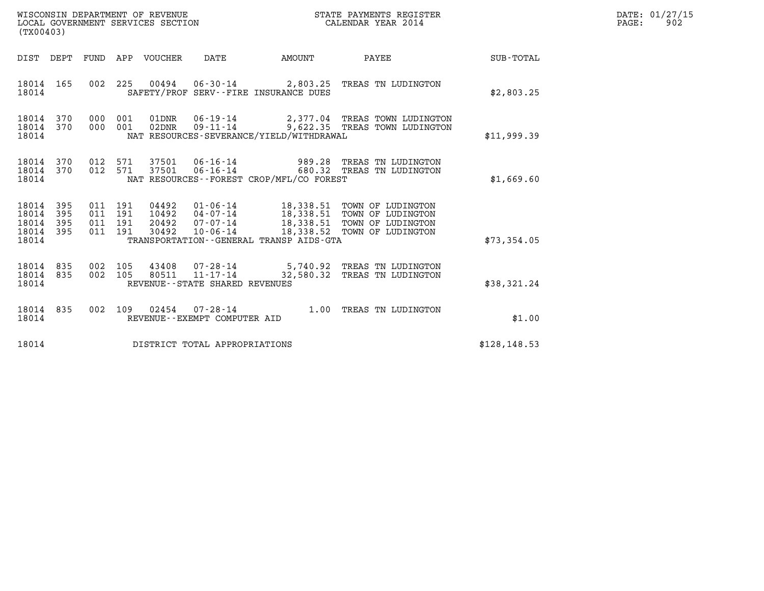| WISCONSIN DEPARTMENT OF REVENUE<br>LOCAL GOVERNMENT SERVICES SECTION<br>(TX00403)                              |                                                                                                                                                                                           | STATE PAYMENTS REGISTER<br>CALENDAR YEAR 2014                                    |               | DATE: 01/27/15<br>PAGE:<br>902 |
|----------------------------------------------------------------------------------------------------------------|-------------------------------------------------------------------------------------------------------------------------------------------------------------------------------------------|----------------------------------------------------------------------------------|---------------|--------------------------------|
| DIST DEPT<br>FUND APP VOUCHER                                                                                  | DATE<br><b>EXAMPLE THE AMOUNT</b>                                                                                                                                                         | <b>PAYEE</b> FOUND THE PAYEE                                                     | SUB-TOTAL     |                                |
| 002 225 00494<br>18014 165<br>18014                                                                            | SAFETY/PROF SERV--FIRE INSURANCE DUES                                                                                                                                                     | 06-30-14 2,803.25 TREAS TN LUDINGTON                                             | \$2,803.25    |                                |
| 18014 370<br>000 001<br>18014 370<br>000 001<br>18014                                                          | 01DNR<br>02DNR<br>NAT RESOURCES-SEVERANCE/YIELD/WITHDRAWAL                                                                                                                                | 06-19-14 2,377.04 TREAS TOWN LUDINGTON<br>09-11-14 9,622.35 TREAS TOWN LUDINGTON | \$11,999.39   |                                |
| 012 571<br>18014 370<br>370<br>012 571<br>18014<br>18014                                                       | 37501<br>37501<br>NAT RESOURCES - - FOREST CROP/MFL/CO FOREST                                                                                                                             | 06-16-14 989.28 TREAS TN LUDINGTON<br>06-16-14 680.32 TREAS TN LUDINGTON         | \$1,669.60    |                                |
| 18014<br>395<br>011 191<br>18014<br>395<br>011 191<br>18014<br>395<br>011 191<br>011 191<br>18014 395<br>18014 | 04492<br>10492<br>04-07-14<br>07-07-14<br>07-07-14<br>07-06-14<br>18,338.51 TOWN OF LUDINGTON<br>18,338.52 TOWN OF LUDINGTON<br>20492<br>30492<br>TRANSPORTATION--GENERAL TRANSP AIDS-GTA |                                                                                  | \$73,354.05   |                                |
| 18014 835<br>002 105<br>18014<br>002 105<br>835<br>18014                                                       | 43408<br>80511<br>REVENUE--STATE SHARED REVENUES                                                                                                                                          | 07-28-14 5,740.92 TREAS TN LUDINGTON<br>11-17-14 32,580.32 TREAS TN LUDINGTON    | \$38,321.24   |                                |
| 18014<br>835<br>18014                                                                                          | 002 109 02454 07-28-14 1.00 TREAS TN LUDINGTON<br>REVENUE--EXEMPT COMPUTER AID                                                                                                            |                                                                                  | \$1.00        |                                |
| 18014                                                                                                          | DISTRICT TOTAL APPROPRIATIONS                                                                                                                                                             |                                                                                  | \$128, 148.53 |                                |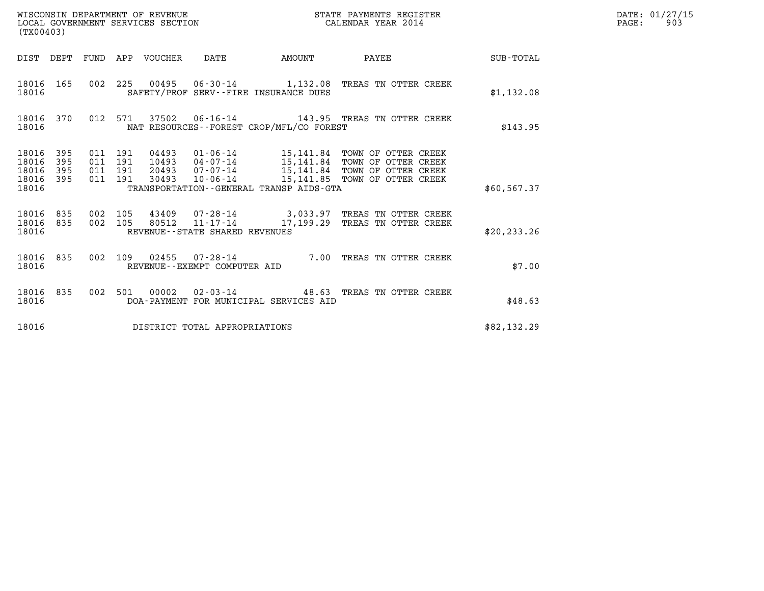| (TX00403)                        |                   |         |                    |                                 |                                |                                              |                                                                                                                                                                                                                         |              | DATE: 01/27/15<br>$\mathtt{PAGE}$ :<br>903 |
|----------------------------------|-------------------|---------|--------------------|---------------------------------|--------------------------------|----------------------------------------------|-------------------------------------------------------------------------------------------------------------------------------------------------------------------------------------------------------------------------|--------------|--------------------------------------------|
|                                  |                   |         |                    | DIST DEPT FUND APP VOUCHER DATE |                                | AMOUNT PAYEE                                 |                                                                                                                                                                                                                         | SUB-TOTAL    |                                            |
| 18016                            |                   |         |                    |                                 |                                | SAFETY/PROF SERV--FIRE INSURANCE DUES        | 18016 165 002 225 00495 06-30-14 1,132.08 TREAS TN OTTER CREEK                                                                                                                                                          | \$1,132.08   |                                            |
| 18016                            |                   |         |                    |                                 |                                | NAT RESOURCES--FOREST CROP/MFL/CO FOREST     | 18016 370 012 571 37502 06-16-14 143.95 TREAS TN OTTER CREEK                                                                                                                                                            | \$143.95     |                                            |
| 18016<br>18016<br>18016<br>18016 | 395<br>395<br>395 | 011 191 | 011 191<br>011 191 |                                 |                                | TRANSPORTATION - - GENERAL TRANSP AIDS - GTA | 18016 395 011 191 04493 01-06-14 15,141.84 TOWN OF OTTER CREEK<br>10493  04-07-14  15,141.84  TOWN OF OTTER CREEK<br>20493  07-07-14  15,141.84  TOWN OF OTTER CREEK<br>30493  10-06-14  15,141.85  TOWN OF OTTER CREEK | \$60,567.37  |                                            |
| 18016                            |                   |         |                    |                                 | REVENUE--STATE SHARED REVENUES |                                              | $\begin{array}{cccccc} 18016 & 835 & 002 & 105 & 43409 & 07-28-14 & & 3,033.97 & \text{TREAS TN OTTER CREEK} \\ 18016 & 835 & 002 & 105 & 80512 & 11-17-14 & & 17,199.29 & \text{TREAS TN OTTER CREKK} \end{array}$     | \$20, 233.26 |                                            |
| 18016                            |                   |         |                    |                                 | REVENUE--EXEMPT COMPUTER AID   |                                              | 18016 835 002 109 02455 07-28-14 7.00 TREAS TN OTTER CREEK                                                                                                                                                              | \$7.00       |                                            |
| 18016                            |                   |         |                    |                                 |                                | DOA-PAYMENT FOR MUNICIPAL SERVICES AID       | 18016 835 002 501 00002 02-03-14 48.63 TREAS TN OTTER CREEK                                                                                                                                                             | \$48.63      |                                            |
| 18016                            |                   |         |                    |                                 | DISTRICT TOTAL APPROPRIATIONS  |                                              |                                                                                                                                                                                                                         | \$82,132.29  |                                            |

WISCONSIN DEPARTMENT OF REVENUE<br>LOCAL GOVERNMENT SERVICES SECTION STATE PAYMENTS REGISTER SECTION DATE: 01/27/15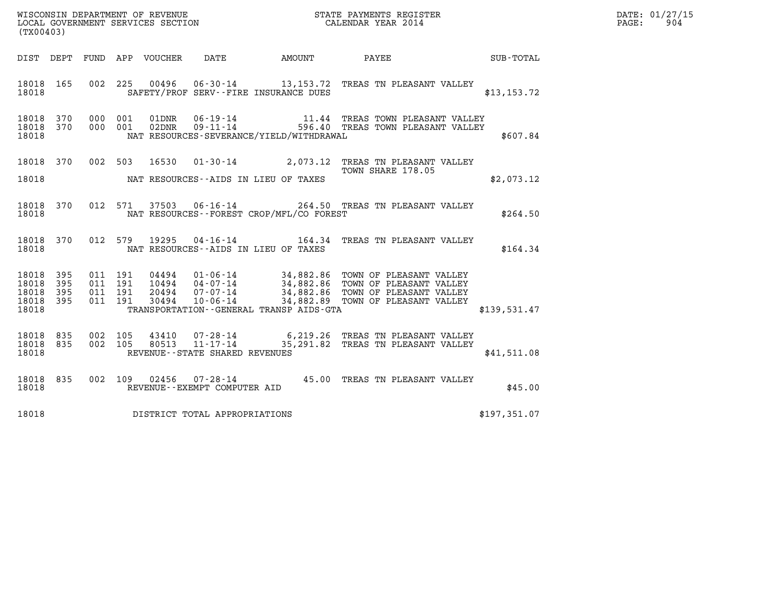| DATE: | 01/27/15 |
|-------|----------|
| PAGE: | 904      |

| (TX00403)                                     |                   |                                          |         |                            |                                                     |                                              |                                                                                  |                                                 | DATE: 01/27/15<br>$\mathtt{PAGE:}$<br>904 |
|-----------------------------------------------|-------------------|------------------------------------------|---------|----------------------------|-----------------------------------------------------|----------------------------------------------|----------------------------------------------------------------------------------|-------------------------------------------------|-------------------------------------------|
|                                               |                   |                                          |         | DIST DEPT FUND APP VOUCHER | DATE                                                | AMOUNT                                       | PAYEE                                                                            | $\begin{array}{c}\text{SUB - TOTAL}\end{array}$ |                                           |
| 18018 165<br>18018                            |                   |                                          | 002 225 |                            |                                                     | SAFETY/PROF SERV--FIRE INSURANCE DUES        | 00496  06-30-14  13,153.72  TREAS TN PLEASANT VALLEY                             | \$13, 153.72                                    |                                           |
| 18018 370<br>18018 370<br>18018               |                   | 000 001<br>000 001                       |         | 01DNR<br>$02$ DNR          | $06 - 19 - 14$<br>$09 - 11 - 14$                    | NAT RESOURCES-SEVERANCE/YIELD/WITHDRAWAL     | 11.44 TREAS TOWN PLEASANT VALLEY<br>596.40 TREAS TOWN PLEASANT VALLEY            | \$607.84                                        |                                           |
| 18018 370<br>18018                            |                   | 002 503                                  |         |                            |                                                     | NAT RESOURCES--AIDS IN LIEU OF TAXES         | 16530  01-30-14  2,073.12  TREAS TN PLEASANT VALLEY<br>TOWN SHARE 178.05         | \$2,073.12                                      |                                           |
| 18018 370<br>18018                            |                   |                                          | 012 571 |                            |                                                     | NAT RESOURCES - - FOREST CROP/MFL/CO FOREST  | 37503  06-16-14  264.50  TREAS TN PLEASANT VALLEY                                | \$264.50                                        |                                           |
| 18018 370<br>18018                            |                   | 012 579                                  |         | 19295                      |                                                     | NAT RESOURCES -- AIDS IN LIEU OF TAXES       | 04-16-14 164.34 TREAS TN PLEASANT VALLEY                                         | \$164.34                                        |                                           |
| 18018<br>18018<br>18018<br>18018 395<br>18018 | 395<br>395<br>395 | 011 191<br>011 191<br>011 191<br>011 191 |         |                            |                                                     | TRANSPORTATION - - GENERAL TRANSP AIDS - GTA |                                                                                  | \$139,531.47                                    |                                           |
| 18018 835<br>18018 835<br>18018               |                   | 002 105<br>002 105                       |         | 43410<br>80513             | $11 - 17 - 14$<br>REVENUE - - STATE SHARED REVENUES |                                              | 07-28-14 6,219.26 TREAS TN PLEASANT VALLEY<br>35,291.82 TREAS TN PLEASANT VALLEY | \$41,511.08                                     |                                           |
| 18018 835<br>18018                            |                   |                                          | 002 109 |                            | REVENUE--EXEMPT COMPUTER AID                        |                                              | 02456  07-28-14  45.00 TREAS TN PLEASANT VALLEY                                  | \$45.00                                         |                                           |
| 18018                                         |                   |                                          |         |                            | DISTRICT TOTAL APPROPRIATIONS                       |                                              |                                                                                  | \$197,351.07                                    |                                           |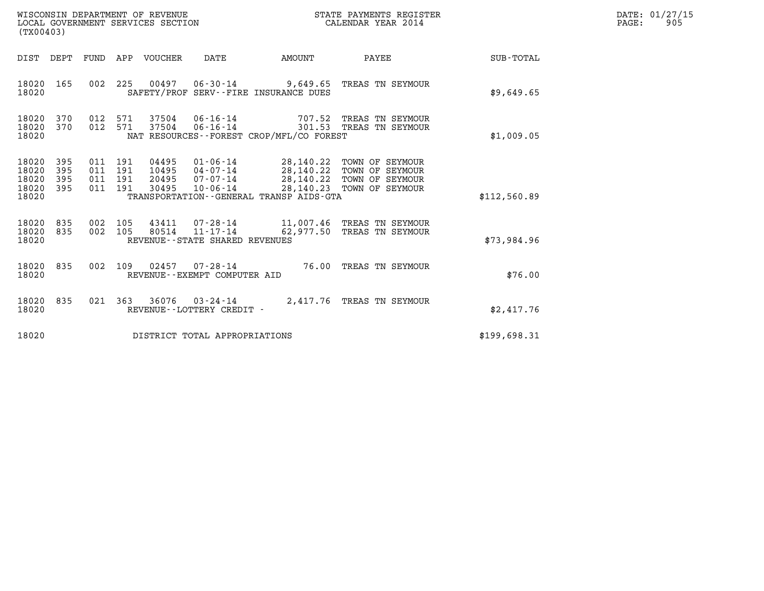| WISCONSIN DEPARTMENT OF REVENUE<br>LOCAL GOVERNMENT SERVICES SECTION | STATE PAYMENTS REGISTER<br>CALENDAR YEAR 2014 | DATE: 01/27/15<br>905<br>PAGE: |
|----------------------------------------------------------------------|-----------------------------------------------|--------------------------------|

| WISCONSIN DEPARTMENT OF REVENUE<br>LOCAL GOVERNMENT SERVICES SECTION<br>(TX00403) |                          |                          |                          |                                  |                                                                 |                                                       |                                                                                                        |                  |
|-----------------------------------------------------------------------------------|--------------------------|--------------------------|--------------------------|----------------------------------|-----------------------------------------------------------------|-------------------------------------------------------|--------------------------------------------------------------------------------------------------------|------------------|
| DIST                                                                              | DEPT                     | FUND                     | APP                      | VOUCHER                          | DATE                                                            | AMOUNT                                                | PAYEE                                                                                                  | <b>SUB-TOTAL</b> |
| 18020<br>18020                                                                    | 165                      | 002                      | 225                      |                                  |                                                                 | SAFETY/PROF SERV--FIRE INSURANCE DUES                 | 00497  06-30-14  9,649.65  TREAS TN SEYMOUR                                                            | \$9,649.65       |
| 18020<br>18020<br>18020                                                           | 370<br>370               | 012<br>012               | 571<br>571               | 37504<br>37504                   | $06 - 16 - 14$<br>$06 - 16 - 14$                                | 707.52<br>NAT RESOURCES - - FOREST CROP/MFL/CO FOREST | TREAS TN SEYMOUR<br>301.53 TREAS TN SEYMOUR                                                            | \$1,009.05       |
| 18020<br>18020<br>18020<br>18020<br>18020                                         | 395<br>395<br>395<br>395 | 011<br>011<br>011<br>011 | 191<br>191<br>191<br>191 | 04495<br>10495<br>20495<br>30495 | $01 - 06 - 14$<br>$04 - 07 - 14$<br>07-07-14<br>10-06-14        | 28,140.22<br>TRANSPORTATION--GENERAL TRANSP AIDS-GTA  | 28,140.22 TOWN OF SEYMOUR<br>TOWN OF SEYMOUR<br>28,140.22 TOWN OF SEYMOUR<br>28,140.23 TOWN OF SEYMOUR | \$112,560.89     |
| 18020<br>18020<br>18020                                                           | 835<br>835               | 002<br>002               | 105<br>105               | 43411<br>80514                   | 07-28-14<br>$11 - 17 - 14$<br>REVENUE - - STATE SHARED REVENUES | 62,977.50                                             | 11,007.46 TREAS TN SEYMOUR<br>TREAS TN SEYMOUR                                                         | \$73,984.96      |
| 18020<br>18020                                                                    | 835                      | 002                      | 109                      | 02457                            | $07 - 28 - 14$<br>REVENUE--EXEMPT COMPUTER AID                  |                                                       | 76.00 TREAS TN SEYMOUR                                                                                 | \$76.00          |
| 18020<br>18020                                                                    | 835                      | 021                      | 363                      | 36076                            | $03 - 24 - 14$<br>REVENUE - - LOTTERY CREDIT -                  | 2,417.76                                              | TREAS TN SEYMOUR                                                                                       | \$2,417.76       |
| 18020                                                                             |                          |                          |                          |                                  | DISTRICT TOTAL APPROPRIATIONS                                   |                                                       |                                                                                                        | \$199,698.31     |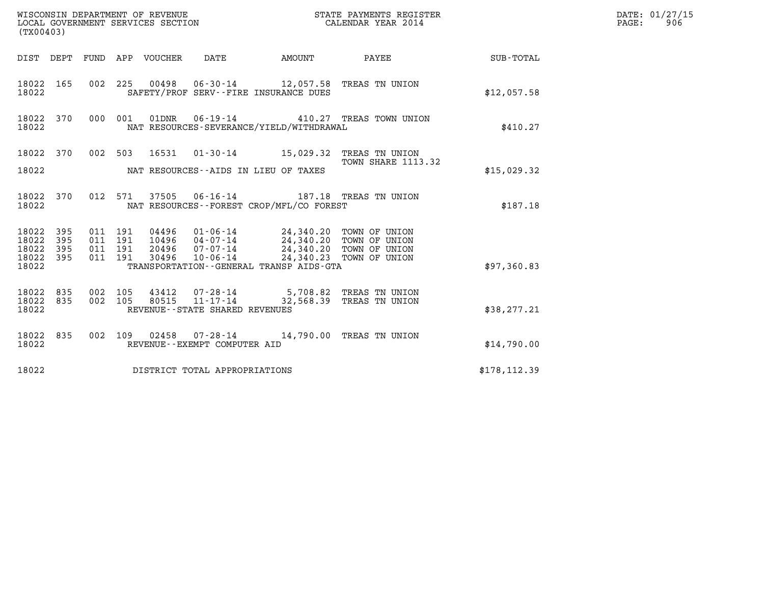| (TX00403)                                             | WISCONSIN DEPARTMENT OF REVENUE<br>LOCAL GOVERNMENT SERVICES SECTION                                                       |               | STATE PAYMENTS REGISTER<br>CALENDAR YEAR 2014 |               | DATE: 01/27/15<br>$\mathtt{PAGE}$ :<br>906 |
|-------------------------------------------------------|----------------------------------------------------------------------------------------------------------------------------|---------------|-----------------------------------------------|---------------|--------------------------------------------|
| DIST DEPT FUND APP VOUCHER DATE                       |                                                                                                                            | <b>AMOUNT</b> | PAYEE SUB-TOTAL                               |               |                                            |
| 18022 165<br>18022                                    | 002 225 00498 06-30-14 12,057.58 TREAS TN UNION<br>SAFETY/PROF SERV--FIRE INSURANCE DUES                                   |               |                                               | \$12,057.58   |                                            |
| 18022 370<br>000 001<br>18022                         | 01DNR  06-19-14  410.27 TREAS TOWN UNION<br>NAT RESOURCES-SEVERANCE/YIELD/WITHDRAWAL                                       |               |                                               | \$410.27      |                                            |
| 18022 370                                             | 002 503 16531 01-30-14 15,029.32 TREAS TN UNION                                                                            |               | <b>TOWN SHARE 1113.32</b>                     |               |                                            |
| 18022                                                 | NAT RESOURCES--AIDS IN LIEU OF TAXES                                                                                       |               |                                               | \$15,029.32   |                                            |
| 18022 370<br>18022                                    | 012 571 37505 06-16-14 187.18 TREAS TN UNION<br>NAT RESOURCES - - FOREST CROP/MFL/CO FOREST                                |               |                                               | \$187.18      |                                            |
| 18022 395<br>011 191<br>18022<br>395<br>011 191       | 04496 01-06-14 24,340.20 TOWN OF UNION<br>10496 04-07-14 24,340.20 TOWN OF UNION<br>20496 07-07-14 24,340.20 TOWN OF UNION |               |                                               |               |                                            |
| 18022 395<br>011 191<br>011 191<br>18022 395          | $10 - 06 - 14$<br>30496                                                                                                    |               | 24,340.23 TOWN OF UNION                       |               |                                            |
| 18022                                                 | TRANSPORTATION--GENERAL TRANSP AIDS-GTA                                                                                    |               |                                               | \$97,360.83   |                                            |
| 18022 835<br>002 105<br>002 105<br>18022 835<br>18022 | 43412  07-28-14  5,708.82  TREAS TN UNION<br>$11 - 17 - 14$<br>80515<br>REVENUE - - STATE SHARED REVENUES                  |               | 32,568.39 TREAS TN UNION                      | \$38, 277.21  |                                            |
| 18022 835<br>18022                                    | 002 109 02458 07-28-14 14,790.00 TREAS TN UNION<br>REVENUE--EXEMPT COMPUTER AID                                            |               |                                               | \$14,790.00   |                                            |
| 18022                                                 | DISTRICT TOTAL APPROPRIATIONS                                                                                              |               |                                               | \$178, 112.39 |                                            |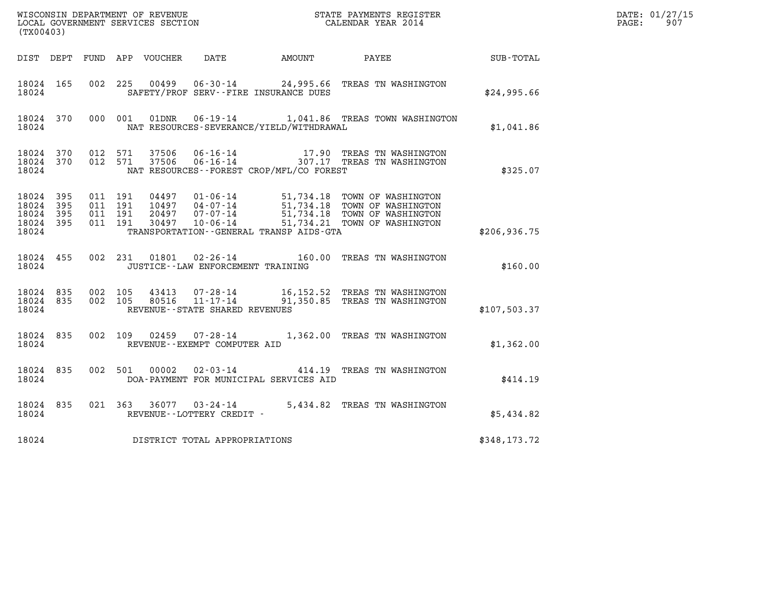|                                               |                       |                                          |  |               |                                                        |                                              |                                                                                                                                                                                                                                                                                                                        |                  | DATE: 01/27/15          |
|-----------------------------------------------|-----------------------|------------------------------------------|--|---------------|--------------------------------------------------------|----------------------------------------------|------------------------------------------------------------------------------------------------------------------------------------------------------------------------------------------------------------------------------------------------------------------------------------------------------------------------|------------------|-------------------------|
| (TX00403)                                     |                       |                                          |  |               |                                                        |                                              |                                                                                                                                                                                                                                                                                                                        |                  | $\mathtt{PAGE:}$<br>907 |
|                                               |                       |                                          |  |               |                                                        | DIST DEPT FUND APP VOUCHER DATE AMOUNT PAYEE |                                                                                                                                                                                                                                                                                                                        | <b>SUB-TOTAL</b> |                         |
| 18024 165<br>18024                            |                       |                                          |  |               |                                                        | SAFETY/PROF SERV--FIRE INSURANCE DUES        | 002 225 00499 06-30-14 24,995.66 TREAS TN WASHINGTON                                                                                                                                                                                                                                                                   | \$24,995.66      |                         |
| 18024 370<br>18024                            |                       |                                          |  |               |                                                        | NAT RESOURCES-SEVERANCE/YIELD/WITHDRAWAL     | 000 001 01DNR 06-19-14 1,041.86 TREAS TOWN WASHINGTON                                                                                                                                                                                                                                                                  | \$1,041.86       |                         |
| 18024 370<br>18024                            |                       | 18024 370 012 571<br>012 571             |  |               |                                                        | NAT RESOURCES--FOREST CROP/MFL/CO FOREST     |                                                                                                                                                                                                                                                                                                                        | \$325.07         |                         |
| 18024 395<br>18024<br>18024<br>18024<br>18024 | - 395<br>- 395<br>395 | 011 191<br>011 191<br>011 191<br>011 191 |  | 04497         |                                                        | TRANSPORTATION--GENERAL TRANSP AIDS-GTA      | $\begin{array}{cccc} 04497 & 01\cdot 06\cdot 14 & 51,734.18 & \text{TOWN OF WASHINGTON} \\ 10497 & 04\cdot 07\cdot 14 & 51,734.18 & \text{TOWN OF WASHINGTON} \\ 20497 & 07\cdot 07\cdot 14 & 51,734.18 & \text{TOWN OF WASHINGTON} \\ 30497 & 10\cdot 06\cdot 14 & 51,734.21 & \text{TOWN OF WASHINGTON} \end{array}$ | \$206,936.75     |                         |
| 18024                                         | 18024 455             |                                          |  |               | JUSTICE - - LAW ENFORCEMENT TRAINING                   |                                              | 002 231 01801 02-26-14 160.00 TREAS TN WASHINGTON                                                                                                                                                                                                                                                                      | \$160.00         |                         |
| 18024 835<br>18024 835<br>18024               |                       |                                          |  |               | REVENUE - - STATE SHARED REVENUES                      |                                              | 002 105 43413 07-28-14 16,152.52 TREAS TN WASHINGTON<br>002 105 80516 11-17-14 91,350.85 TREAS TN WASHINGTON                                                                                                                                                                                                           | \$107,503.37     |                         |
| 18024                                         | 18024 835             |                                          |  |               | 002 109 02459 07-28-14<br>REVENUE--EXEMPT COMPUTER AID |                                              | 1,362.00 TREAS TN WASHINGTON                                                                                                                                                                                                                                                                                           | \$1,362.00       |                         |
| 18024                                         | 18024 835             |                                          |  | 002 501 00002 |                                                        | DOA-PAYMENT FOR MUNICIPAL SERVICES AID       | 02-03-14  414.19 TREAS TN WASHINGTON                                                                                                                                                                                                                                                                                   | \$414.19         |                         |
| 18024 835<br>18024                            |                       |                                          |  |               | REVENUE--LOTTERY CREDIT -                              |                                              | 021 363 36077 03-24-14 5,434.82 TREAS TN WASHINGTON                                                                                                                                                                                                                                                                    | \$5,434.82       |                         |
| 18024                                         |                       |                                          |  |               | DISTRICT TOTAL APPROPRIATIONS                          |                                              |                                                                                                                                                                                                                                                                                                                        | \$348,173.72     |                         |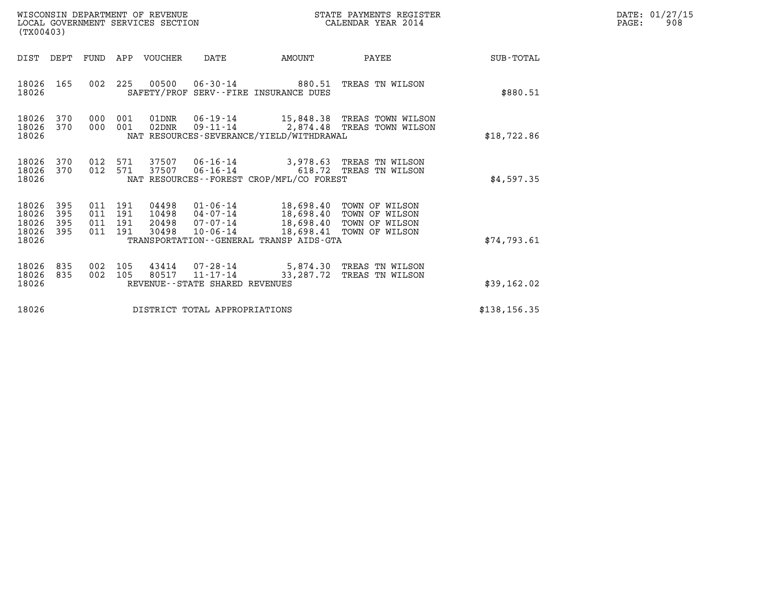| WISCONSIN DEPARTMENT OF REVENUE<br>LOCAL GOVERNMENT SERVICES SECTION | STATE PAYMENTS REGISTER<br>CALENDAR YEAR 2014 | DATE: 01/27/15<br>908<br>PAGE: |
|----------------------------------------------------------------------|-----------------------------------------------|--------------------------------|

|                                           | WISCONSIN DEPARTMENT OF REVENUE<br>STATE PAYMENTS REGISTER<br>LOCAL GOVERNMENT SERVICES SECTION<br>CALENDAR YEAR 2014<br>(TX00403) |                          |                          |                                  |                                              |                                                                                                            |                                                                               |                  |
|-------------------------------------------|------------------------------------------------------------------------------------------------------------------------------------|--------------------------|--------------------------|----------------------------------|----------------------------------------------|------------------------------------------------------------------------------------------------------------|-------------------------------------------------------------------------------|------------------|
| DIST                                      | DEPT                                                                                                                               | FUND                     | APP                      | VOUCHER                          | DATE                                         | AMOUNT                                                                                                     | PAYEE                                                                         | <b>SUB-TOTAL</b> |
| 18026<br>18026                            | 165                                                                                                                                | 002                      | 225                      | 00500                            |                                              | 06-30-14 880.51<br>SAFETY/PROF SERV--FIRE INSURANCE DUES                                                   | TREAS TN WILSON                                                               | \$880.51         |
| 18026<br>18026<br>18026                   | 370<br>370                                                                                                                         | 000<br>000               | 001<br>001               | 01DNR<br>$02$ DNR                |                                              | NAT RESOURCES-SEVERANCE/YIELD/WITHDRAWAL                                                                   | 06-19-14 15,848.38 TREAS TOWN WILSON<br>09-11-14 2,874.48 TREAS TOWN WILSON   | \$18,722.86      |
| 18026<br>18026<br>18026                   | 370<br>370                                                                                                                         | 012<br>012               | 571<br>571               |                                  |                                              | NAT RESOURCES - - FOREST CROP/MFL/CO FOREST                                                                |                                                                               | \$4,597.35       |
| 18026<br>18026<br>18026<br>18026<br>18026 | 395<br>395<br>395<br>395                                                                                                           | 011<br>011<br>011<br>011 | 191<br>191<br>191<br>191 | 04498<br>10498<br>20498<br>30498 | 01-06-14<br>04-07-14<br>07-07-14<br>10-06-14 | 18,698.40<br>18,698.40<br>18,698.40 TOWN OF WILSON<br>18,698.41<br>TRANSPORTATION--GENERAL TRANSP AIDS-GTA | TOWN OF WILSON<br>TOWN OF WILSON<br>TOWN OF WILSON                            | \$74,793.61      |
| 18026<br>18026<br>18026                   | 835<br>835                                                                                                                         | 002<br>002               | 105<br>105               | 43414                            | REVENUE - - STATE SHARED REVENUES            |                                                                                                            | 07-28-14 5,874.30 TREAS TN WILSON<br>80517 11-17-14 33,287.72 TREAS TN WILSON | \$39,162.02      |
| 18026                                     |                                                                                                                                    |                          |                          |                                  | DISTRICT TOTAL APPROPRIATIONS                |                                                                                                            |                                                                               | \$138, 156.35    |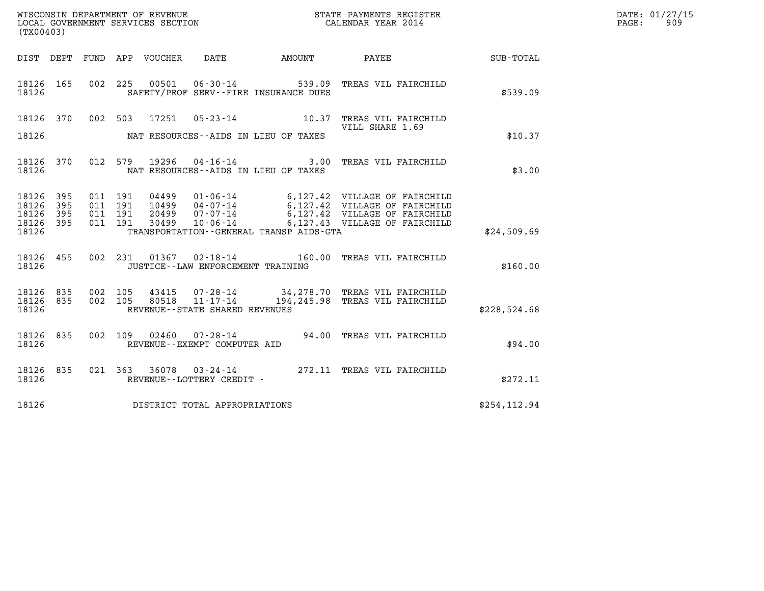| WISCONSIN DEPARTMENT OF REVENUE   | STATE PAYMENTS REGISTER | DATE: 01/27/15 |
|-----------------------------------|-------------------------|----------------|
| LOCAL GOVERNMENT SERVICES SECTION | CALENDAR YEAR 2014      | 909<br>PAGE:   |

|                         | WISCONSIN DEPARTMENT OF REVENUE<br>LOCAL GOVERNMENT SERVICES SECTION<br>(TX00403) |            |            |                |                                                        |                                                             | STATE PAYMENTS REGISTER<br>CALENDAR YEAR 2014                                                   |              |
|-------------------------|-----------------------------------------------------------------------------------|------------|------------|----------------|--------------------------------------------------------|-------------------------------------------------------------|-------------------------------------------------------------------------------------------------|--------------|
| DIST                    | DEPT                                                                              | FUND       | APP        | VOUCHER        |                                                        | DATE AMOUNT                                                 | PAYEE                                                                                           | SUB-TOTAL    |
| 18126<br>18126          | 165                                                                               | 002        | 225        | 00501          | $06 - 30 - 14$                                         | 539.09<br>SAFETY/PROF SERV--FIRE INSURANCE DUES             | TREAS VIL FAIRCHILD                                                                             | \$539.09     |
| 18126                   | 370                                                                               | 002        | 503        | 17251          | $05 - 23 - 14$                                         | 10.37                                                       | TREAS VIL FAIRCHILD<br>VILL SHARE 1.69                                                          |              |
| 18126                   |                                                                                   |            |            |                |                                                        | NAT RESOURCES -- AIDS IN LIEU OF TAXES                      |                                                                                                 | \$10.37      |
| 18126<br>18126          | 370                                                                               | 012        | 579        | 19296          |                                                        | $04 - 16 - 14$ 3.00<br>NAT RESOURCES--AIDS IN LIEU OF TAXES | TREAS VIL FAIRCHILD                                                                             | \$3.00       |
| 18126<br>18126          | 395<br>395                                                                        | 011<br>011 | 191<br>191 | 04499<br>10499 | 01-06-14<br>$04 - 07 - 14$                             |                                                             | 6,127.42 VILLAGE OF FAIRCHILD<br>6,127.42 VILLAGE OF FAIRCHILD<br>6,127.42 VILLAGE OF FAIRCHILD |              |
| 18126<br>18126<br>18126 | 395<br>395                                                                        | 011<br>011 | 191<br>191 | 20499<br>30499 | 07-07-14<br>10-06-14                                   | TRANSPORTATION--GENERAL TRANSP AIDS-GTA                     | 6,127.43 VILLAGE OF FAIRCHILD                                                                   | \$24,509.69  |
| 18126<br>18126          | 455                                                                               | 002        | 231        | 01367          | $02 - 18 - 14$<br>JUSTICE -- LAW ENFORCEMENT TRAINING  |                                                             | 160.00 TREAS VIL FAIRCHILD                                                                      | \$160.00     |
| 18126<br>18126          | 835<br>835                                                                        | 002<br>002 | 105<br>105 | 43415<br>80518 | 07-28-14<br>11-17-14                                   |                                                             | 34,278.70 TREAS VIL FAIRCHILD<br>194, 245.98 TREAS VIL FAIRCHILD                                |              |
| 18126                   |                                                                                   |            |            |                | REVENUE - - STATE SHARED REVENUES                      |                                                             |                                                                                                 | \$228,524.68 |
| 18126<br>18126          | 835                                                                               | 002        | 109        |                | $02460$ $07 - 28 - 14$<br>REVENUE--EXEMPT COMPUTER AID |                                                             | 94.00 TREAS VIL FAIRCHILD                                                                       | \$94.00      |
| 18126<br>18126          | 835                                                                               | 021        | 363        | 36078          | $03 - 24 - 14$<br>REVENUE - - LOTTERY CREDIT -         |                                                             | 272.11 TREAS VIL FAIRCHILD                                                                      | \$272.11     |
| 18126                   |                                                                                   |            |            |                | DISTRICT TOTAL APPROPRIATIONS                          |                                                             |                                                                                                 | \$254,112.94 |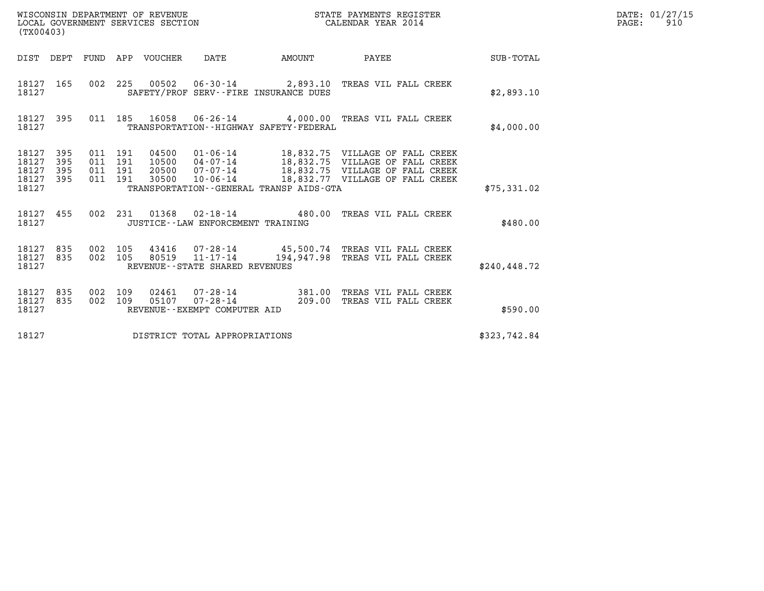|                                                                    |                                          | HINGGAL GOVERNMENT OF REVENUE<br>LOCAL GOVERNMENT SERVICES SECTION<br>(TX00403) |                                      |                                              | STATE PAYMENTS REGISTER<br>CALENDAR YEAR 2014                                                                                                                                                              |              | DATE: 01/27/15<br>$\mathtt{PAGE:}$<br>910 |
|--------------------------------------------------------------------|------------------------------------------|---------------------------------------------------------------------------------|--------------------------------------|----------------------------------------------|------------------------------------------------------------------------------------------------------------------------------------------------------------------------------------------------------------|--------------|-------------------------------------------|
|                                                                    |                                          | DIST DEPT FUND APP VOUCHER DATE                                                 |                                      | <b>AMOUNT</b>                                | <b>PAYEE</b> FOR THE PAYEE                                                                                                                                                                                 | SUB-TOTAL    |                                           |
| 18127 165<br>18127                                                 |                                          |                                                                                 |                                      | SAFETY/PROF SERV--FIRE INSURANCE DUES        | 002 225 00502 06-30-14 2,893.10 TREAS VIL FALL CREEK                                                                                                                                                       | \$2,893.10   |                                           |
| 18127 395<br>18127                                                 |                                          |                                                                                 |                                      | TRANSPORTATION - - HIGHWAY SAFETY - FEDERAL  | 011 185 16058 06-26-14 4,000.00 TREAS VIL FALL CREEK                                                                                                                                                       | \$4,000.00   |                                           |
| 18127<br>395<br>18127<br>395<br>18127<br>395<br>18127 395<br>18127 | 011 191<br>011 191<br>011 191<br>011 191 |                                                                                 |                                      | TRANSPORTATION - - GENERAL TRANSP AIDS - GTA | 04500  01-06-14  18,832.75  VILLAGE OF FALL CREEK<br>10500 04-07-14 18,832.75 VILLAGE OF FALL CREEK<br>20500 07-07-14 18,832.75 VILLAGE OF FALL CREEK<br>30500  10-06-14  18,832.77  VILLAGE OF FALL CREEK | \$75,331.02  |                                           |
| 18127 455<br>18127                                                 |                                          |                                                                                 | JUSTICE - - LAW ENFORCEMENT TRAINING |                                              | 002 231 01368 02-18-14 480.00 TREAS VIL FALL CREEK                                                                                                                                                         | \$480.00     |                                           |
| 18127 835<br>18127 835<br>18127                                    | 002 105<br>002 105                       |                                                                                 | REVENUE - - STATE SHARED REVENUES    |                                              | 43416 07-28-14 45,500.74 TREAS VIL FALL CREEK<br>80519  11-17-14  194,947.98  TREAS VIL FALL CREEK                                                                                                         | \$240,448.72 |                                           |
| 18127 835<br>18127 835<br>18127                                    | 002 109<br>002 109                       |                                                                                 | REVENUE--EXEMPT COMPUTER AID         |                                              | 02461  07-28-14  381.00 TREAS VIL FALL CREEK<br>05107  07-28-14  209.00 TREAS VIL FALL CREEK                                                                                                               | \$590.00     |                                           |
| 18127                                                              |                                          | DISTRICT TOTAL APPROPRIATIONS                                                   |                                      |                                              |                                                                                                                                                                                                            | \$323,742.84 |                                           |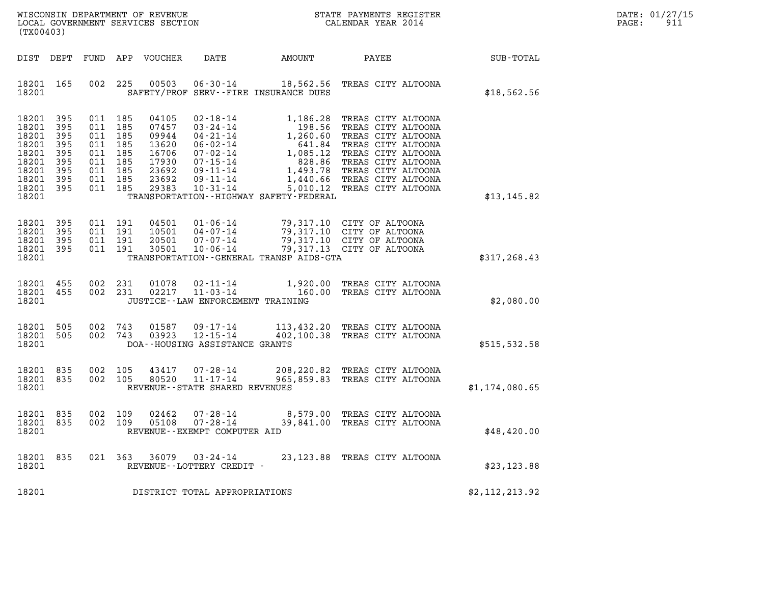| WISCONSIN DEPARTMENT OF REVENUE   | STATE PAYMENTS REGISTER | DATE: 01/27/15          |
|-----------------------------------|-------------------------|-------------------------|
| LOCAL GOVERNMENT SERVICES SECTION | CALENDAR YEAR 2014      | Q <sub>1</sub><br>PAGE: |

| WISCONSIN DEPARTMENT OF REVENUE<br>LOCAL GOVERNMENT SERVICES SECTION<br>(TX00403)      |                                                             |                                                             |                                                             |                                                                               |                                                                                                                                                                |                                                                                                                                                   | STATE PAYMENTS REGISTER<br>CALENDAR YEAR 2014                                                                                                                                                      |                  |
|----------------------------------------------------------------------------------------|-------------------------------------------------------------|-------------------------------------------------------------|-------------------------------------------------------------|-------------------------------------------------------------------------------|----------------------------------------------------------------------------------------------------------------------------------------------------------------|---------------------------------------------------------------------------------------------------------------------------------------------------|----------------------------------------------------------------------------------------------------------------------------------------------------------------------------------------------------|------------------|
| DIST                                                                                   | DEPT                                                        | FUND                                                        | APP                                                         | <b>VOUCHER</b>                                                                | DATE                                                                                                                                                           | AMOUNT                                                                                                                                            | PAYEE                                                                                                                                                                                              | <b>SUB-TOTAL</b> |
| 18201<br>18201                                                                         | 165                                                         | 002                                                         | 225                                                         | 00503                                                                         | $06 - 30 - 14$                                                                                                                                                 | 18,562.56<br>SAFETY/PROF SERV--FIRE INSURANCE DUES                                                                                                | TREAS CITY ALTOONA                                                                                                                                                                                 | \$18,562.56      |
| 18201<br>18201<br>18201<br>18201<br>18201<br>18201<br>18201<br>18201<br>18201<br>18201 | 395<br>395<br>395<br>395<br>395<br>395<br>395<br>395<br>395 | 011<br>011<br>011<br>011<br>011<br>011<br>011<br>011<br>011 | 185<br>185<br>185<br>185<br>185<br>185<br>185<br>185<br>185 | 04105<br>07457<br>09944<br>13620<br>16706<br>17930<br>23692<br>23692<br>29383 | $02 - 18 - 14$<br>$03 - 24 - 14$<br>$04 - 21 - 14$<br>$06 - 02 - 14$<br>$07 - 02 - 14$<br>$07 - 15 - 14$<br>$09 - 11 - 14$<br>$09 - 11 - 14$<br>$10 - 31 - 14$ | 1,186.28<br>198.56<br>1,260.60<br>641.84<br>1,085.12<br>828.86<br>1,493.78<br>1,440.66<br>5,010.12<br>TRANSPORTATION - - HIGHWAY SAFETY - FEDERAL | TREAS CITY ALTOONA<br>TREAS CITY ALTOONA<br>TREAS CITY ALTOONA<br>TREAS CITY ALTOONA<br>TREAS CITY ALTOONA<br>TREAS CITY ALTOONA<br>TREAS CITY ALTOONA<br>TREAS CITY ALTOONA<br>TREAS CITY ALTOONA | \$13, 145.82     |
| 18201<br>18201<br>18201<br>18201<br>18201                                              | 395<br>395<br>395<br>395                                    | 011<br>011<br>011<br>011                                    | 191<br>191<br>191<br>191                                    | 04501<br>10501<br>20501<br>30501                                              | $01 - 06 - 14$<br>$04 - 07 - 14$<br>$07 - 07 - 14$<br>$10 - 06 - 14$                                                                                           | 79,317.10<br>79,317.10<br>79,317.10<br>79,317.13<br>TRANSPORTATION--GENERAL TRANSP AIDS-GTA                                                       | CITY OF ALTOONA<br>CITY OF ALTOONA<br>CITY OF ALTOONA<br>CITY OF ALTOONA                                                                                                                           | \$317, 268.43    |
| 18201<br>18201<br>18201                                                                | 455<br>455                                                  | 002<br>002                                                  | 231<br>231                                                  | 01078<br>02217                                                                | $02 - 11 - 14$<br>$11 - 03 - 14$<br>JUSTICE--LAW ENFORCEMENT TRAINING                                                                                          | 1,920.00<br>160.00                                                                                                                                | TREAS CITY ALTOONA<br>TREAS CITY ALTOONA                                                                                                                                                           | \$2,080.00       |
| 18201<br>18201<br>18201                                                                | 505<br>505                                                  | 002<br>002                                                  | 743<br>743                                                  | 01587<br>03923                                                                | $09 - 17 - 14$<br>$12 - 15 - 14$<br>DOA--HOUSING ASSISTANCE GRANTS                                                                                             | 402,100.38                                                                                                                                        | 113,432.20 TREAS CITY ALTOONA<br>TREAS CITY ALTOONA                                                                                                                                                | \$515,532.58     |
| 18201<br>18201<br>18201                                                                | 835<br>835                                                  | 002<br>002                                                  | 105<br>105                                                  | 43417<br>80520                                                                | $07 - 28 - 14$<br>$11 - 17 - 14$<br>REVENUE - - STATE SHARED REVENUES                                                                                          | 208,220.82<br>965,859.83                                                                                                                          | TREAS CITY ALTOONA<br>TREAS CITY ALTOONA                                                                                                                                                           | \$1,174,080.65   |
| 18201<br>18201<br>18201                                                                | 835<br>835                                                  | 002<br>002                                                  | 109<br>109                                                  | 02462<br>05108                                                                | $07 - 28 - 14$<br>$07 - 28 - 14$<br>REVENUE--EXEMPT COMPUTER AID                                                                                               | 8,579.00<br>39,841.00                                                                                                                             | TREAS CITY ALTOONA<br>TREAS CITY ALTOONA                                                                                                                                                           | \$48,420.00      |
| 18201<br>18201                                                                         | 835                                                         | 021                                                         | 363                                                         | 36079                                                                         | $03 - 24 - 14$<br>REVENUE--LOTTERY CREDIT -                                                                                                                    |                                                                                                                                                   | 23, 123.88 TREAS CITY ALTOONA                                                                                                                                                                      | \$23, 123.88     |
| 18201                                                                                  |                                                             |                                                             |                                                             |                                                                               | DISTRICT TOTAL APPROPRIATIONS                                                                                                                                  |                                                                                                                                                   |                                                                                                                                                                                                    | \$2,112,213.92   |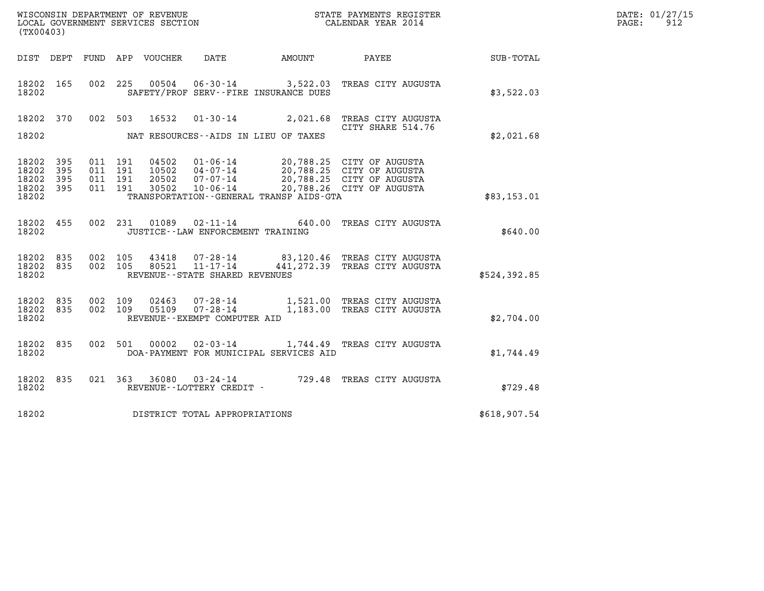| DATE: | 01/27/15 |
|-------|----------|
| PAGE: | 912      |

| (TX00403)          |            |         |         |                  |                                                  |                                         |                                                           |              | DATE: 01/27/15<br>PAGE:<br>912 |
|--------------------|------------|---------|---------|------------------|--------------------------------------------------|-----------------------------------------|-----------------------------------------------------------|--------------|--------------------------------|
| DIST DEPT          |            |         |         | FUND APP VOUCHER | DATE                                             | AMOUNT                                  | PAYEE                                                     | SUB-TOTAL    |                                |
| 18202 165<br>18202 |            | 002 225 |         | 00504            |                                                  | SAFETY/PROF SERV--FIRE INSURANCE DUES   | 06-30-14 3,522.03 TREAS CITY AUGUSTA                      | \$3,522.03   |                                |
| 18202              | 370        |         | 002 503 | 16532            |                                                  |                                         | 01-30-14 2,021.68 TREAS CITY AUGUSTA<br>CITY SHARE 514.76 |              |                                |
| 18202              |            |         |         |                  |                                                  | NAT RESOURCES--AIDS IN LIEU OF TAXES    |                                                           | \$2,021.68   |                                |
| 18202<br>18202     | 395<br>395 | 011 191 | 011 191 | 04502<br>10502   | $01 - 06 - 14$<br>04-07-14                       |                                         | 20,788.25 CITY OF AUGUSTA<br>20,788.25 CITY OF AUGUSTA    |              |                                |
| 18202<br>18202 395 | 395        | 011 191 | 011 191 | 20502<br>30502   | $07 - 07 - 14$<br>$10 - 06 - 14$                 |                                         | 20,788.25 CITY OF AUGUSTA<br>20,788.26 CITY OF AUGUSTA    |              |                                |
| 18202              |            |         |         |                  |                                                  | TRANSPORTATION--GENERAL TRANSP AIDS-GTA |                                                           | \$83,153.01  |                                |
| 18202 455<br>18202 |            |         |         | 002 231 01089    | JUSTICE - - LAW ENFORCEMENT TRAINING             |                                         | 02-11-14 640.00 TREAS CITY AUGUSTA                        | \$640.00     |                                |
| 18202              | 835        | 002     | 105     | 43418            | 07-28-14                                         |                                         | 83,120.46 TREAS CITY AUGUSTA                              |              |                                |
| 18202 835<br>18202 |            |         | 002 105 | 80521            | $11 - 17 - 14$<br>REVENUE--STATE SHARED REVENUES |                                         | 441, 272.39 TREAS CITY AUGUSTA                            | \$524,392.85 |                                |
| 18202 835          |            |         | 002 109 | 02463            | 07-28-14                                         |                                         | 1,521.00 TREAS CITY AUGUSTA                               |              |                                |
| 18202 835<br>18202 |            | 002 109 |         | 05109            | $07 - 28 - 14$<br>REVENUE--EXEMPT COMPUTER AID   |                                         | 1,183.00 TREAS CITY AUGUSTA                               | \$2,704.00   |                                |
| 18202 835          |            |         | 002 501 | 00002            |                                                  |                                         | 02-03-14 1,744.49 TREAS CITY AUGUSTA                      |              |                                |
| 18202              |            |         |         |                  |                                                  | DOA-PAYMENT FOR MUNICIPAL SERVICES AID  |                                                           | \$1,744.49   |                                |
| 18202 835<br>18202 |            |         | 021 363 | 36080            | REVENUE--LOTTERY CREDIT -                        |                                         | 03-24-14 729.48 TREAS CITY AUGUSTA                        | \$729.48     |                                |
| 18202              |            |         |         |                  | DISTRICT TOTAL APPROPRIATIONS                    |                                         |                                                           | \$618,907.54 |                                |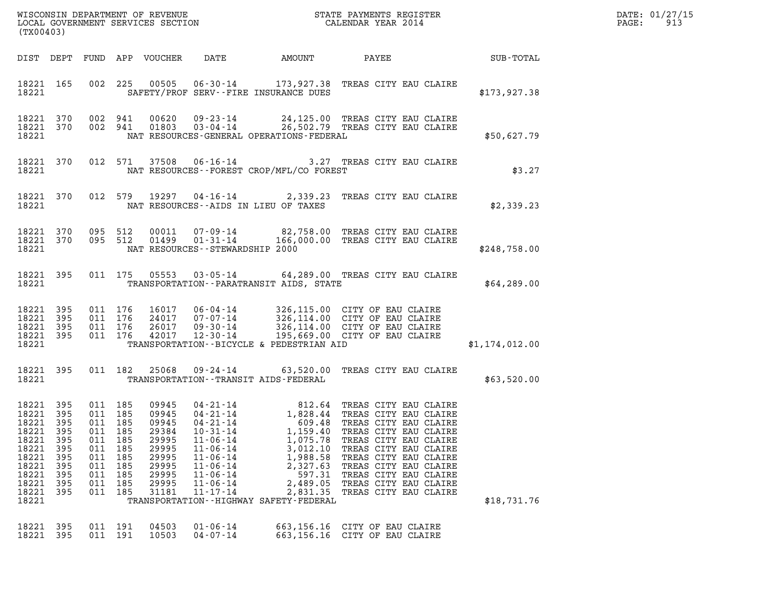| DATE: | 01/27/15 |
|-------|----------|
| PAGE: | 913      |

| WISCONSIN DEPARTMENT OF REVENUE<br>LOCAL GOVERNMENT SERVICES SECTION<br>CALENDAR YEAR 2014<br>(TX00403)          |                                                             |                                                                                            |                                     |                                                                               |                                                                                                                                                                                  |                                                                                                                                                     |                                                                                                                                                                                                                                                                                                                                                                      |                | DATE: 01/27/15<br>$\mathtt{PAGE:}$<br>913 |
|------------------------------------------------------------------------------------------------------------------|-------------------------------------------------------------|--------------------------------------------------------------------------------------------|-------------------------------------|-------------------------------------------------------------------------------|----------------------------------------------------------------------------------------------------------------------------------------------------------------------------------|-----------------------------------------------------------------------------------------------------------------------------------------------------|----------------------------------------------------------------------------------------------------------------------------------------------------------------------------------------------------------------------------------------------------------------------------------------------------------------------------------------------------------------------|----------------|-------------------------------------------|
|                                                                                                                  |                                                             |                                                                                            |                                     |                                                                               |                                                                                                                                                                                  |                                                                                                                                                     |                                                                                                                                                                                                                                                                                                                                                                      |                |                                           |
| 18221                                                                                                            |                                                             |                                                                                            |                                     |                                                                               |                                                                                                                                                                                  | SAFETY/PROF SERV--FIRE INSURANCE DUES                                                                                                               | 18221 165 002 225 00505 06-30-14 173,927.38 TREAS CITY EAU CLAIRE                                                                                                                                                                                                                                                                                                    | \$173,927.38   |                                           |
| 18221                                                                                                            |                                                             |                                                                                            |                                     |                                                                               |                                                                                                                                                                                  | NAT RESOURCES-GENERAL OPERATIONS-FEDERAL                                                                                                            | 18221 370 002 941 00620 09-23-14 24,125.00 TREAS CITY EAU CLAIRE<br>18221 370 002 941 01803 03-04-14 26,502.79 TREAS CITY EAU CLAIRE                                                                                                                                                                                                                                 | \$50,627.79    |                                           |
|                                                                                                                  |                                                             |                                                                                            |                                     |                                                                               |                                                                                                                                                                                  | 18221 NAT RESOURCES--FOREST CROP/MFL/CO FOREST                                                                                                      | 18221 370 012 571 37508 06-16-14 3.27 TREAS CITY EAU CLAIRE                                                                                                                                                                                                                                                                                                          | \$3.27         |                                           |
|                                                                                                                  |                                                             |                                                                                            |                                     |                                                                               |                                                                                                                                                                                  | 18221 NAT RESOURCES--AIDS IN LIEU OF TAXES                                                                                                          | 18221 370 012 579 19297 04-16-14 2,339.23 TREAS CITY EAU CLAIRE                                                                                                                                                                                                                                                                                                      | \$2,339.23     |                                           |
| 18221                                                                                                            |                                                             |                                                                                            |                                     |                                                                               | NAT RESOURCES--STEWARDSHIP 2000                                                                                                                                                  |                                                                                                                                                     | 18221 370 095 512 00011 07-09-14 82,758.00 TREAS CITY EAU CLAIRE<br>18221 370 095 512 01499 01-31-14 166,000.00 TREAS CITY EAU CLAIRE                                                                                                                                                                                                                                | \$248,758.00   |                                           |
|                                                                                                                  |                                                             |                                                                                            |                                     |                                                                               |                                                                                                                                                                                  | 18221 TRANSPORTATION - PARATRANSIT AIDS, STATE                                                                                                      | 18221 395 011 175 05553 03-05-14 64,289.00 TREAS CITY EAU CLAIRE                                                                                                                                                                                                                                                                                                     | \$64,289.00    |                                           |
| 18221 395<br>18221 395<br>18221 395<br>18221 395                                                                 |                                                             | 011 176<br>011 176<br>011 176                                                              | 011 176                             |                                                                               |                                                                                                                                                                                  |                                                                                                                                                     | 16017 06-04-14 326,115.00 CITY OF EAU CLAIRE<br>24017 07-07-14 326,114.00 CITY OF EAU CLAIRE<br>26017 09-30-14 326,114.00 CITY OF EAU CLAIRE<br>42017 12-30-14 195,669.00 CITY OF EAU CLAIRE<br>TRANSPORTATION--BICYCLE & PEDESTRIAN AID                                                                                                                             | \$1,174,012.00 |                                           |
| 18221 395<br>18221 2020                                                                                          |                                                             |                                                                                            |                                     |                                                                               |                                                                                                                                                                                  | TRANSPORTATION - - TRANSIT AIDS - FEDERAL                                                                                                           | 011 182 25068 09-24-14 63,520.00 TREAS CITY EAU CLAIRE                                                                                                                                                                                                                                                                                                               | \$63,520.00    |                                           |
| 18221 395<br>18221 395<br>18221<br>18221<br>18221<br>18221<br>18221<br>18221<br>18221<br>18221<br>18221<br>18221 | 395<br>395<br>395<br>395<br>395<br>395<br>395<br>395<br>395 | 011 185<br>011 185<br>011<br>011<br>011<br>011 185<br>011<br>011 185<br>011 185<br>011 185 | 185<br>185<br>185<br>185<br>011 185 | 09945<br>29384<br>29995<br>29995<br>29995<br>29995<br>29995<br>29995<br>31181 | $04 - 21 - 14$<br>$04 - 21 - 14$<br>$10 - 31 - 14$<br>$11 - 06 - 14$<br>$11 - 06 - 14$<br>$11 - 06 - 14$<br>$11 - 06 - 14$<br>$11 - 06 - 14$<br>$11 - 06 - 14$<br>$11 - 17 - 14$ | 609.48<br>1,159.40<br>1,075.78<br>3,012.10<br>1,988.58<br>2,327.63<br>597.31<br>2,489.05<br>2,831.35<br>TRANSPORTATION - - HIGHWAY SAFETY - FEDERAL | 09945  04-21-14  812.64 TREAS CITY EAU CLAIRE<br>09945  04-21-14   1,828.44 TREAS CITY EAU CLAIRE<br>1,828.44 TREAS CITY EAU CLAIRE<br>TREAS CITY EAU CLAIRE<br>TREAS CITY EAU CLAIRE<br>TREAS CITY EAU CLAIRE<br>TREAS CITY EAU CLAIRE<br>TREAS CITY EAU CLAIRE<br>TREAS CITY EAU CLAIRE<br>TREAS CITY EAU CLAIRE<br>TREAS CITY EAU CLAIRE<br>TREAS CITY EAU CLAIRE | \$18,731.76    |                                           |
| 18221<br>18221                                                                                                   | 395<br>395                                                  | 011 191                                                                                    | 011 191                             | 04503<br>10503                                                                | $01 - 06 - 14$<br>$04 - 07 - 14$                                                                                                                                                 | 663,156.16<br>663,156.16                                                                                                                            | CITY OF EAU CLAIRE<br>CITY OF EAU CLAIRE                                                                                                                                                                                                                                                                                                                             |                |                                           |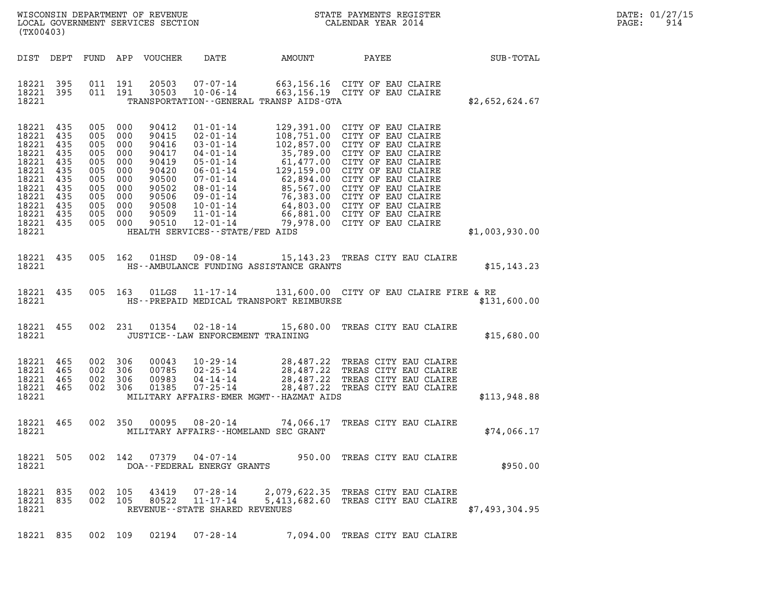| (TX00403)                                                                                                                             |                                               |                                                                                                                       |         |                                                                                                          |                                      |                                                                                                                                                                                                                                                      |  |                | DATE: 01/27/15<br>PAGE: 914 |  |
|---------------------------------------------------------------------------------------------------------------------------------------|-----------------------------------------------|-----------------------------------------------------------------------------------------------------------------------|---------|----------------------------------------------------------------------------------------------------------|--------------------------------------|------------------------------------------------------------------------------------------------------------------------------------------------------------------------------------------------------------------------------------------------------|--|----------------|-----------------------------|--|
|                                                                                                                                       |                                               |                                                                                                                       |         |                                                                                                          |                                      |                                                                                                                                                                                                                                                      |  |                |                             |  |
| 18221 395<br>18221 395<br>18221                                                                                                       |                                               |                                                                                                                       |         |                                                                                                          |                                      | 011 191 20503 07-07-14 663,156.16 CITY OF EAU CLAIRE<br>011 191 30503 10-06-14 663,156.19 CITY OF EAU CLAIRE<br>TRANSPORTATION--GENERAL TRANSP AIDS-GTA                                                                                              |  | \$2,652,624.67 |                             |  |
| 18221 435<br>18221 435<br>18221 435<br>18221 435<br>18221<br>18221<br>18221<br>18221<br>18221<br>18221<br>18221<br>18221 435<br>18221 | 435<br>435<br>435<br>435<br>435<br>435<br>435 | 005 000<br>005 000<br>005 000<br>005 000<br>005 000<br>005 000<br>005 000<br>005 000<br>005 000<br>005 000<br>005 000 | 005 000 | 90412<br>90415<br>90416<br>90417<br>90419<br>90420<br>90500<br>90502<br>90506<br>90508<br>90509<br>90510 | HEALTH SERVICES--STATE/FED AIDS      | 01-01-14<br>02-01-14<br>108,751.00 CITY OF EAU CLAIRE<br>03-01-14<br>102,857.00 CITY OF EAU CLAIRE<br>04-01-14<br>35,789.00 CITY OF EAU CLAIRE<br>05-01-14<br>129,159.00 CITY OF EAU CLAIRE<br>06-01-14<br>129,159.00 CITY OF EAU CLAIRE<br>07-01-14 |  | \$1,003,930.00 |                             |  |
| 18221                                                                                                                                 |                                               |                                                                                                                       |         |                                                                                                          |                                      | 18221 435 005 162 01HSD 09-08-14 15,143.23 TREAS CITY EAU CLAIRE<br>HS--AMBULANCE FUNDING ASSISTANCE GRANTS                                                                                                                                          |  | \$15, 143.23   |                             |  |
| 18221                                                                                                                                 |                                               |                                                                                                                       |         |                                                                                                          |                                      | 18221 435 005 163 01LGS 11-17-14 131,600.00 CITY OF EAU CLAIRE FIRE & RE<br>HS--PREPAID MEDICAL TRANSPORT REIMBURSE                                                                                                                                  |  | \$131,600.00   |                             |  |
| 18221                                                                                                                                 |                                               |                                                                                                                       |         |                                                                                                          | JUSTICE - - LAW ENFORCEMENT TRAINING | 18221 455 002 231 01354 02-18-14 15,680.00 TREAS CITY EAU CLAIRE                                                                                                                                                                                     |  | \$15,680.00    |                             |  |
| 18221 465<br>18221 465<br>18221 465<br>18221 465                                                                                      |                                               | 002 306<br>002 306<br>002 306                                                                                         | 002 306 | 00043<br>00785<br>00983<br>01385                                                                         |                                      | 10-29-14 28,487.22 TREAS CITY EAU CLAIRE<br>02-25-14 28,487.22 TREAS CITY EAU CLAIRE<br>04-14-14 28,487.22 TREAS CITY EAU CLAIRE<br>07-25-14 28.487.22 TREAS CITY EAU CLAIRE                                                                         |  |                |                             |  |

- 18221 465 002 306 00043 10-29-14 28,487.22 TREAS CITY EAU CLAIRE<br>18221 465 002 306 00785 02-25-14 28,487.22 TREAS CITY EAU CLAIRE<br>18221 465 002 306 00983 04-14-14 28,487.22 TREAS CITY EAU CLAIRE<br>18221 465 002 306 01385 07-18221 465 002 306 00785 02-25-14 28,487.22 TREAS-CITY-EAU-CLAIRE<br>18221 465 002 306 00983 04-14-14 28,487.22 TREAS-CITY-EAU-CLAIRE<br>18221 465 002 306 01385 07-25-14 28,487.22 TREAS-CITY-EAU-CLAIRE \$113,948.88<br>18221 MILIT
- 18221 465 002 350 00095 08-20-14 74,066.17 TREAS CITY EAU CLAIRE 18221 465 002 350 00095 08-20-14 74,066.17 TREAS-CITY-EAU-CLAIRE<br>18221 MILITARY-AFFAIRS--HOMELAND-SEC-GRANT
- 18221 505 002 142 07379 04-07-14 950.00 TREAS CITY EAU CLAIRE 18221 DOA--FEDERAL ENERGY GRANTS \$950.00
- 18221 835 002 105 43419 07-28-14 2,079,622.35 TREAS CITY EAU CLAIRE 18221 835 002 105 43419 07-28-14 2,079,622.35 TREAS CITY EAU CLAIRE<br>18221 835 002 105 80522 11-17-14 5,413,682.60 TREAS CITY EAU CLAIRE<br>18221 REVENUE--STATE SHARED REVENUES 18221 REVENUE--STATE SHARED REVENUES \$7,493,304.95 18221 835 002 109 02194 07-28-14 7,094.00 TREAS CITY EAU CLAIRE